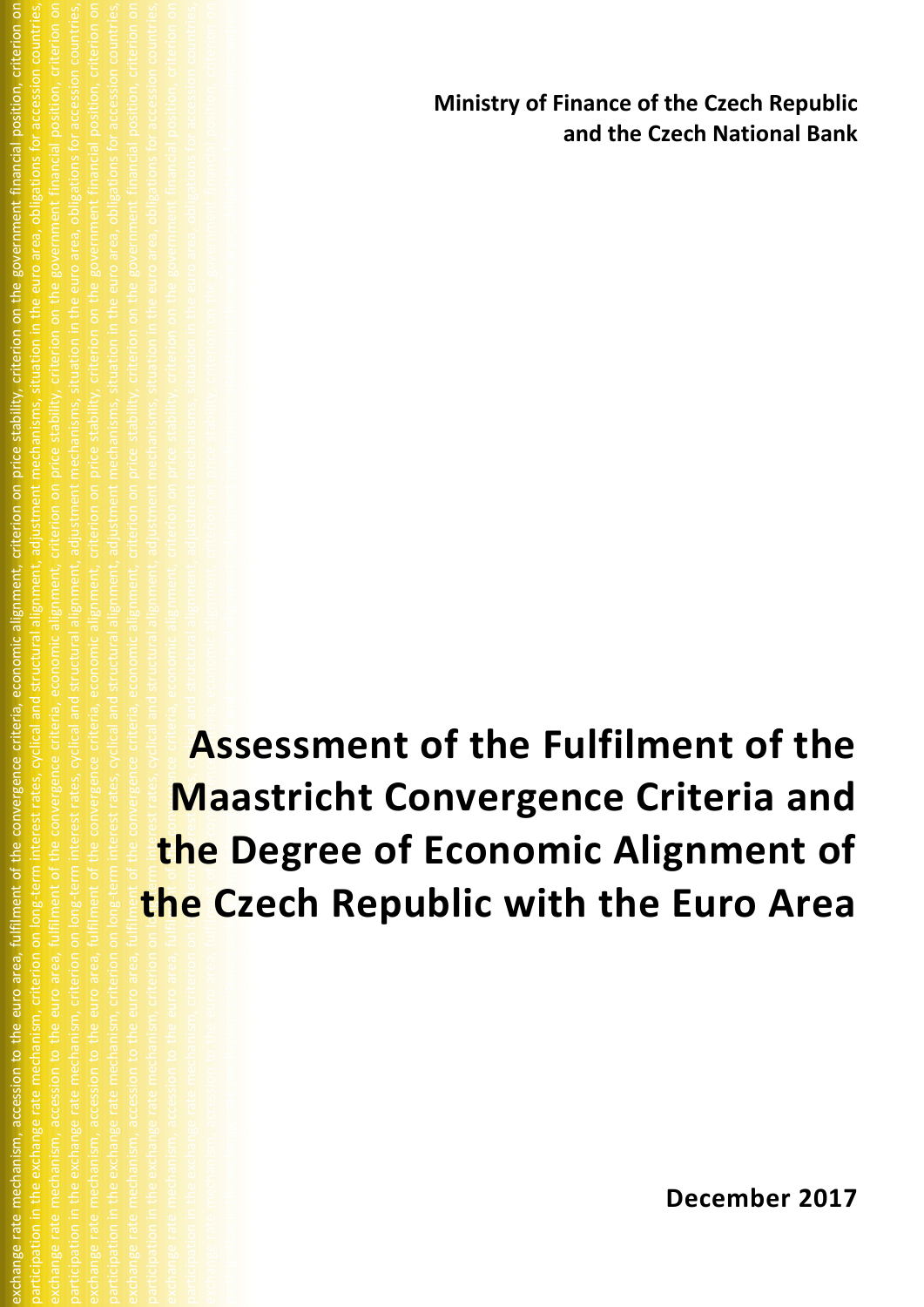**Ministry of Finance of the Czech Republic and the Czech National Bank**

participation in the exchange rate mechanism, criterion on long-term interest rates, cyclical and structural alignment, adjustment mechanisms, situation in the euro area, obligations for accession countries, exchange rate mechanism, accession to the euro area, fulfilment of the convergence criteria, economic alignment, criterion on price stability, criterion on the government financial position, criterion on participation in the exchanism, criterion on IC D and structural and structural alignment, adjustment mechanisms, situation area, obligations for accession countries, exchange rate mechanism, accession to the euro area, fulfilment of  $\bigcap_{i=1}^{\infty}$  convergence alignment, criterion on the government financial position, criterion on participation in the exchange rate mechanism, criterion on long-term interest rates, cyclical and structural alignment, adjustment mechanisms, situation in the euro area, obligations for accession countries, exchange rate mechanism, accession to the convergence criteria, economic alignment, criteria, economic alignme<br>Stability, criterion on the government financial position, criterion on the government financial position, cri participation on long-term interest rates, cyclical and structural and structural and structural and structural and structural and structural alignment, and situation in the euro area, obligations for accession countries, **Assessment of the Fulfilment of the Maastricht Convergence Criteria and the Degree of Economic Alignment of the Czech Republic with the Euro Area**

exchange rate mechanism, accession to the euro area, fulfilment of the convergence criteria, economic alignment, criterion on price stability, criterion on the government financial position, criterion on participation in the exchange rate mechanism, criterion on long-term interest rates, cyclical and structural alignment, adjustment mechanisms, situation in the euro area, obligations for accession countries, exchange rate mechanism, accession to the euro area, fulfilment of the convergence criteria, economic alignment, criterion on price iderion on the government financial position, criterion on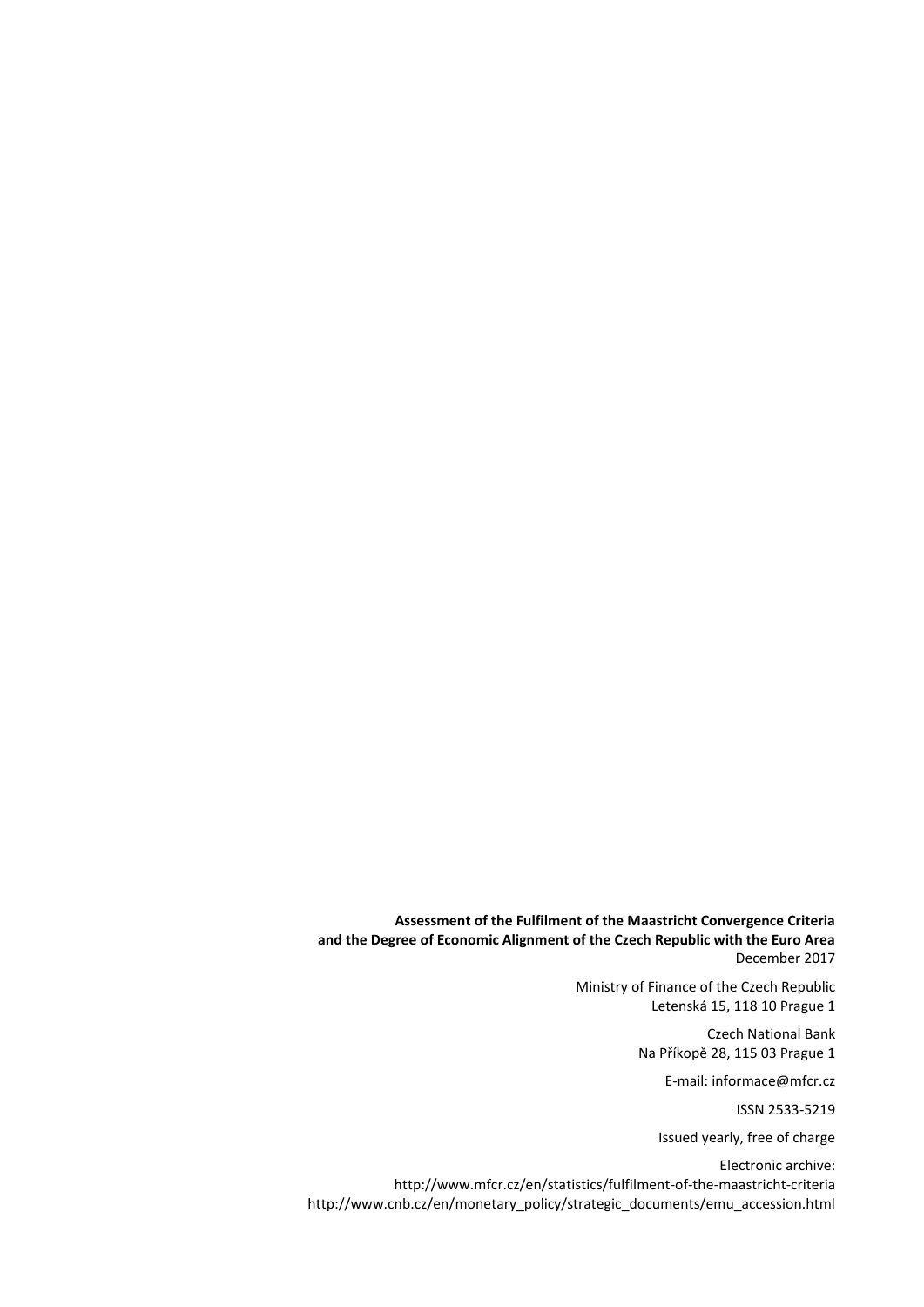**Assessment of the Fulfilment of the Maastricht Convergence Criteria and the Degree of Economic Alignment of the Czech Republic with the Euro Area** December 2017

> Ministry of Finance of the Czech Republic Letenská 15, 118 10 Prague 1

> > Czech National Bank Na Příkopě 28, 115 03 Prague 1

> > > E-mail: informace@mfcr.cz

ISSN 2533-5219

Issued yearly, free of charge

Electronic archive: http://www.mfcr.cz/en/statistics/fulfilment-of-the-maastricht-criteria [http://www.cnb.cz/en/monetary\\_policy/strategic\\_documents/emu\\_accession.html](http://www.cnb.cz/cs/menova_politika/strategicke_dokumenty/pristoupeni_emu.html)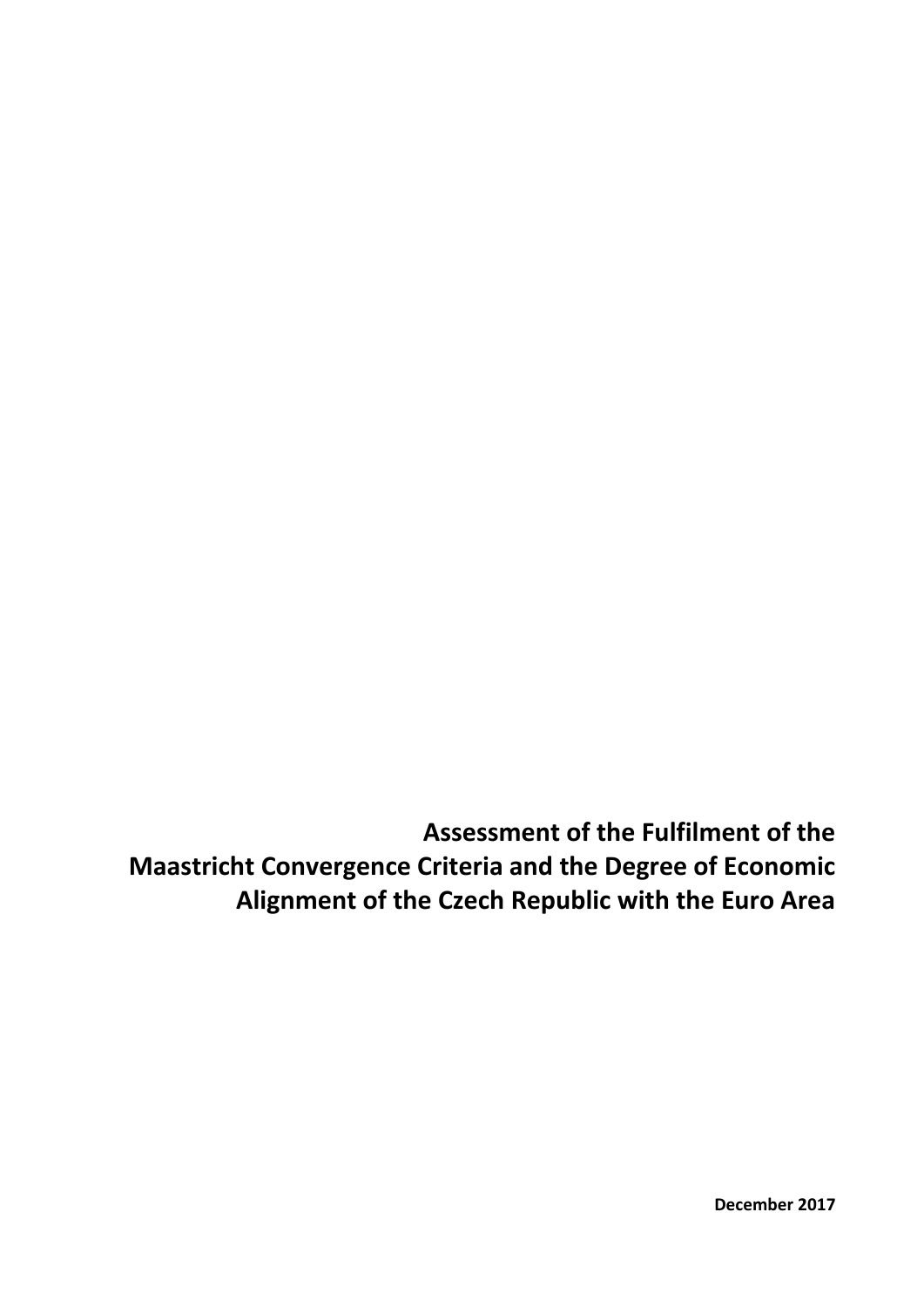**Assessment of the Fulfilment of the Maastricht Convergence Criteria and the Degree of Economic Alignment of the Czech Republic with the Euro Area**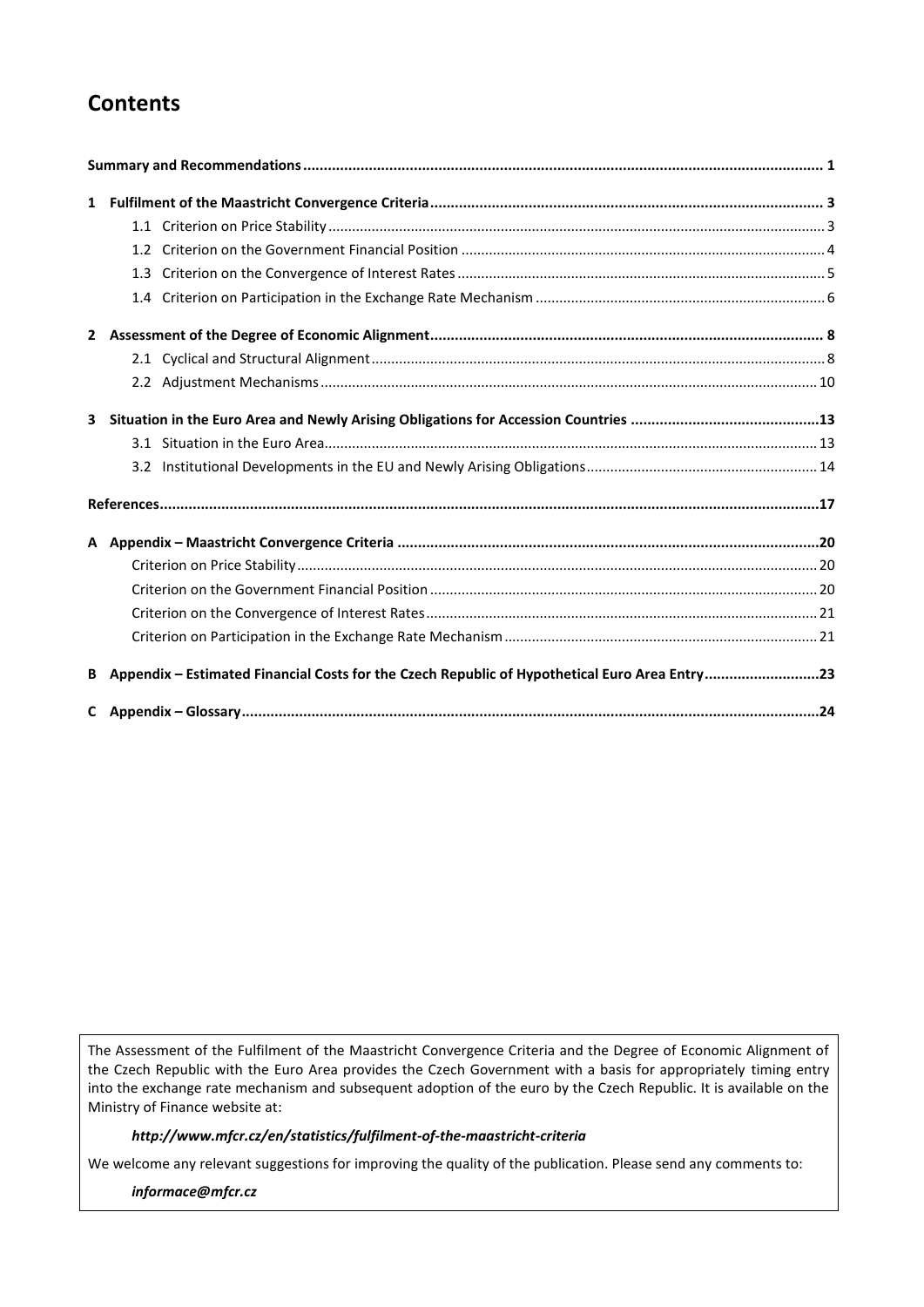## **Contents**

| 3 |                                                                                               |  |
|---|-----------------------------------------------------------------------------------------------|--|
|   |                                                                                               |  |
|   |                                                                                               |  |
|   |                                                                                               |  |
|   |                                                                                               |  |
|   |                                                                                               |  |
|   |                                                                                               |  |
|   |                                                                                               |  |
|   |                                                                                               |  |
| B | Appendix - Estimated Financial Costs for the Czech Republic of Hypothetical Euro Area Entry23 |  |
|   |                                                                                               |  |

The Assessment of the Fulfilment of the Maastricht Convergence Criteria and the Degree of Economic Alignment of the Czech Republic with the Euro Area provides the Czech Government with a basis for appropriately timing entry into the exchange rate mechanism and subsequent adoption of the euro by the Czech Republic. It is available on the Ministry of Finance website at:

### *http://www.mfcr.cz/en/statistics/fulfilment-of-the-maastricht-criteria*

We welcome any relevant suggestions for improving the quality of the publication. Please send any comments to:

*informace@mfcr.cz*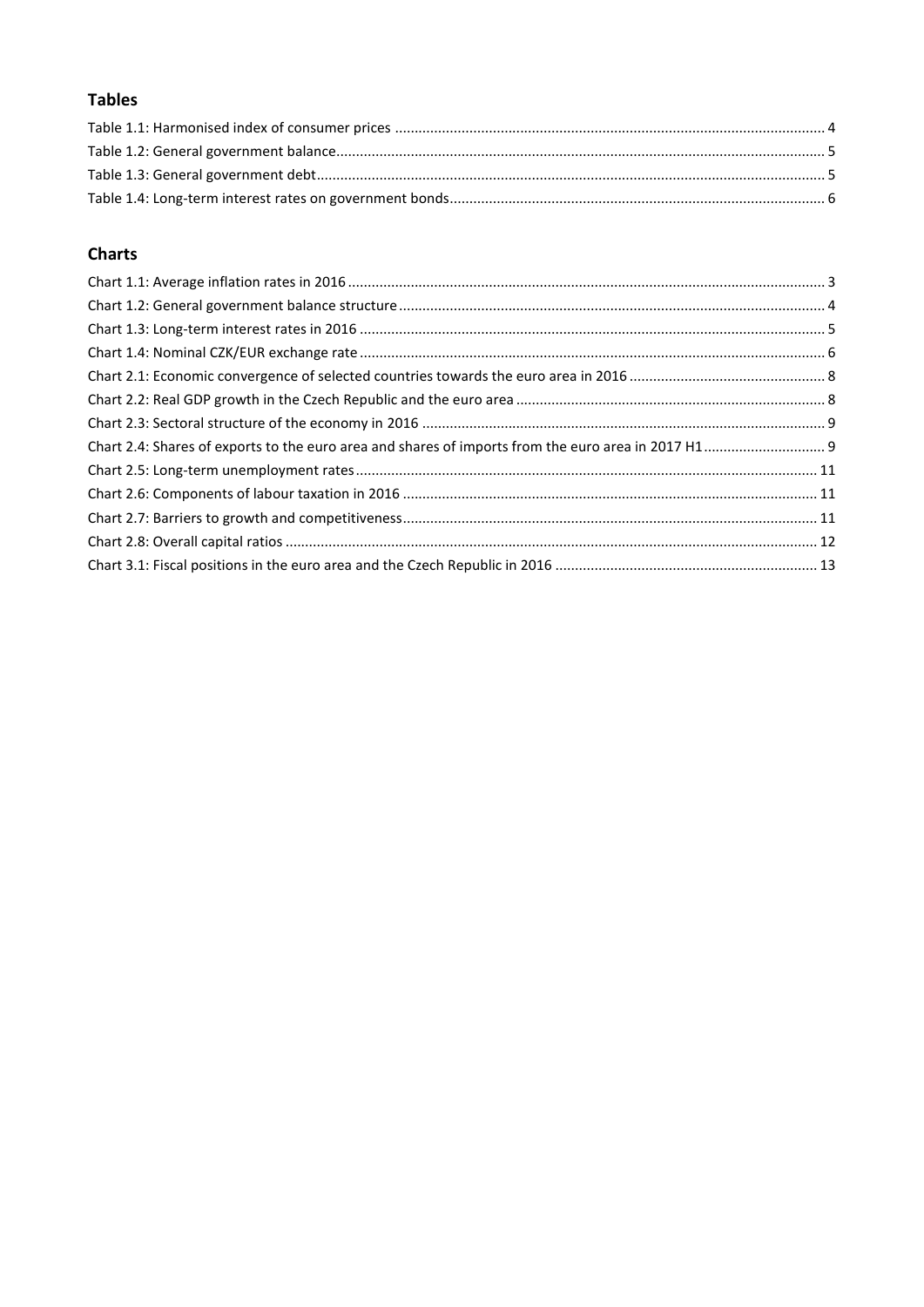## **Tables**

## **Charts**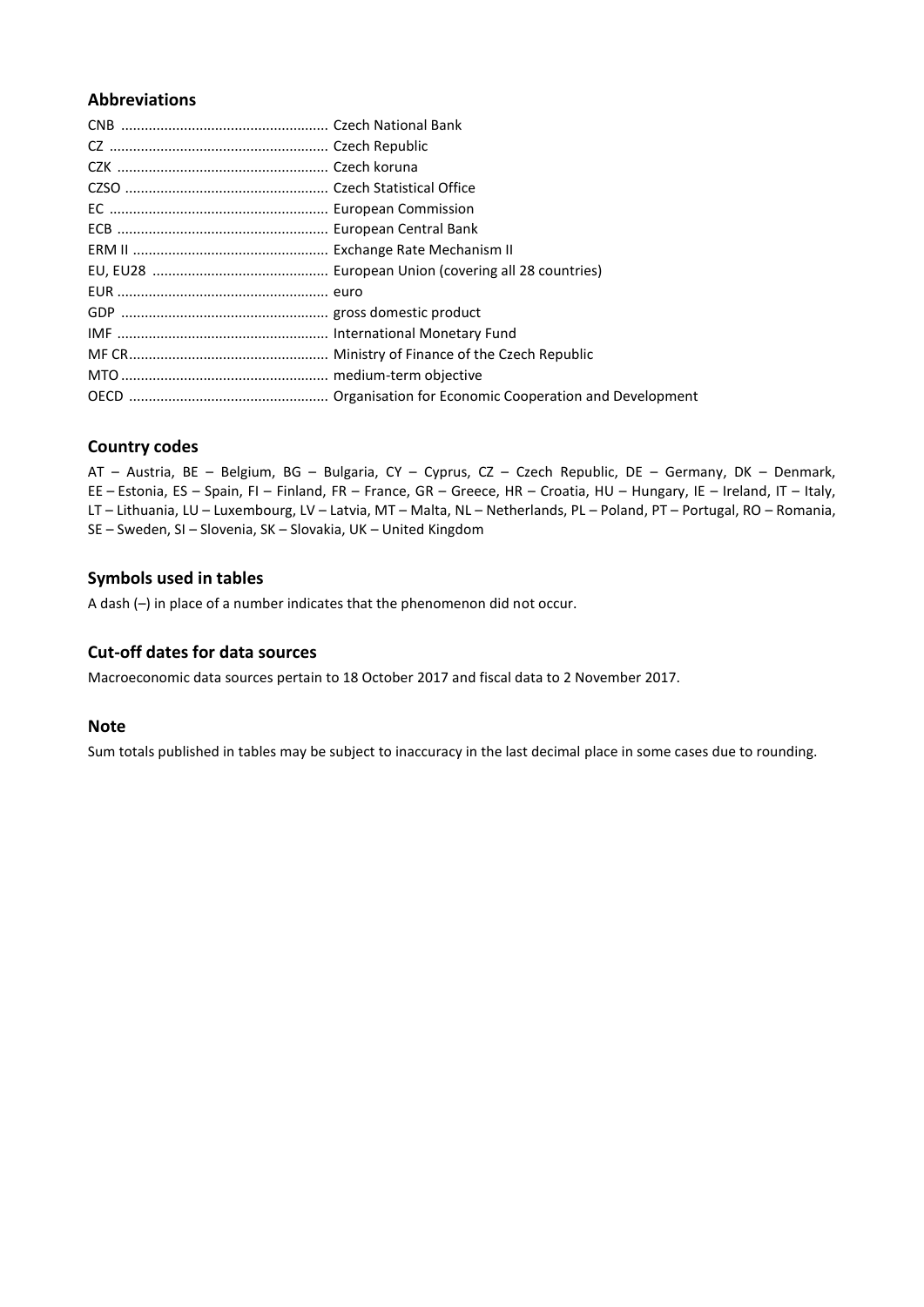## **Abbreviations**

## **Country codes**

AT – Austria, BE – Belgium, BG – Bulgaria, CY – Cyprus, CZ – Czech Republic, DE – Germany, DK – Denmark, EE – Estonia, ES – Spain, FI – Finland, FR – France, GR – Greece, HR – Croatia, HU – Hungary, IE – Ireland, IT – Italy, LT – Lithuania, LU – Luxembourg, LV – Latvia, MT – Malta, NL – Netherlands, PL – Poland, PT – Portugal, RO – Romania, SE – Sweden, SI – Slovenia, SK – Slovakia, UK – United Kingdom

## **Symbols used in tables**

A dash (–) in place of a number indicates that the phenomenon did not occur.

### **Cut-off dates for data sources**

Macroeconomic data sources pertain to 18 October 2017 and fiscal data to 2 November 2017.

### **Note**

Sum totals published in tables may be subject to inaccuracy in the last decimal place in some cases due to rounding.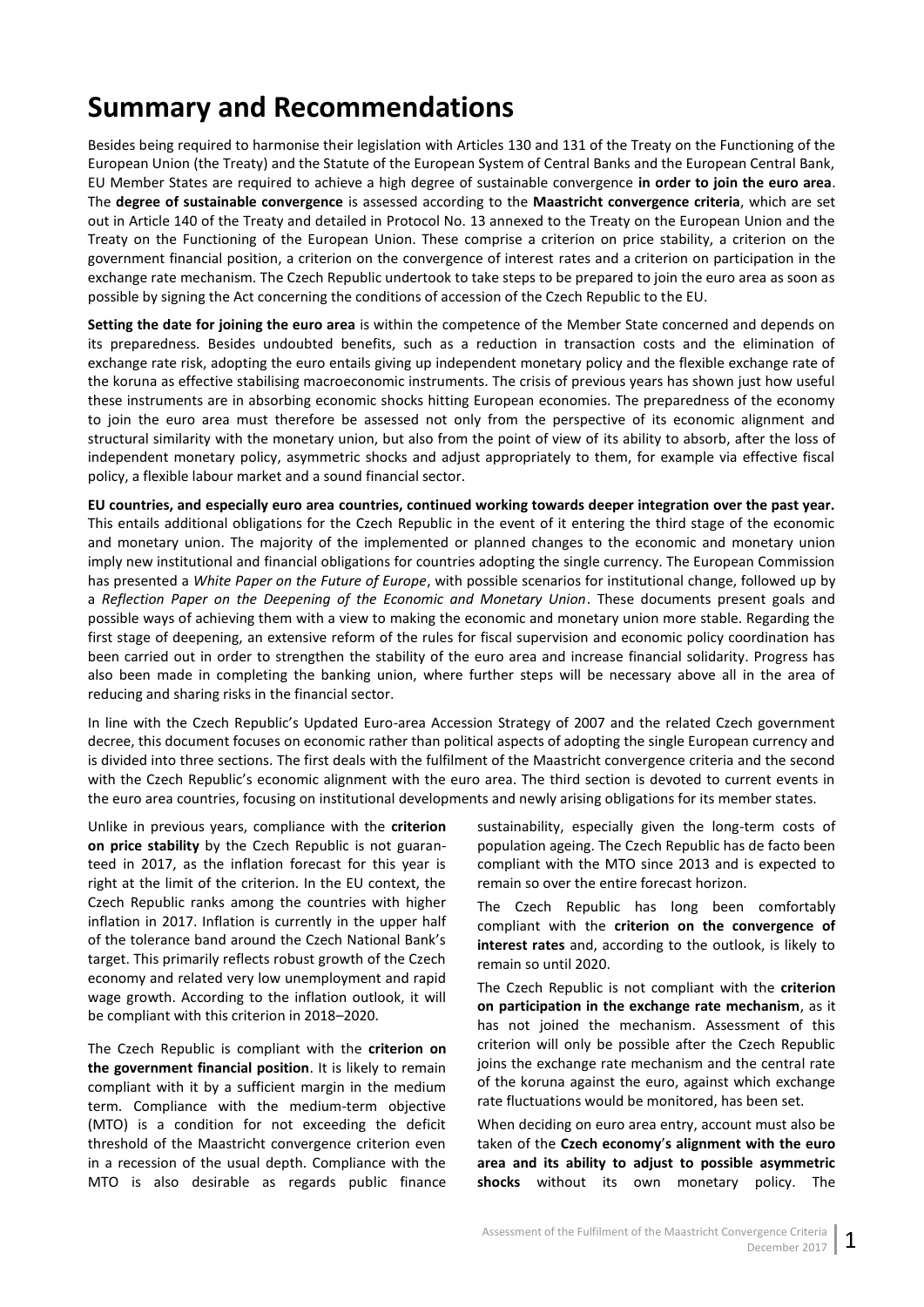# <span id="page-6-0"></span>**Summary and Recommendations**

Besides being required to harmonise their legislation with Articles 130 and 131 of the Treaty on the Functioning of the European Union (the Treaty) and the Statute of the European System of Central Banks and the European Central Bank, EU Member States are required to achieve a high degree of sustainable convergence **in order to join the euro area**. The **degree of sustainable convergence** is assessed according to the **Maastricht convergence criteria**, which are set out in Article 140 of the Treaty and detailed in Protocol No. 13 annexed to the Treaty on the European Union and the Treaty on the Functioning of the European Union. These comprise a criterion on price stability, a criterion on the government financial position, a criterion on the convergence of interest rates and a criterion on participation in the exchange rate mechanism. The Czech Republic undertook to take steps to be prepared to join the euro area as soon as possible by signing the Act concerning the conditions of accession of the Czech Republic to the EU.

**Setting the date for joining the euro area** is within the competence of the Member State concerned and depends on its preparedness. Besides undoubted benefits, such as a reduction in transaction costs and the elimination of exchange rate risk, adopting the euro entails giving up independent monetary policy and the flexible exchange rate of the koruna as effective stabilising macroeconomic instruments. The crisis of previous years has shown just how useful these instruments are in absorbing economic shocks hitting European economies. The preparedness of the economy to join the euro area must therefore be assessed not only from the perspective of its economic alignment and structural similarity with the monetary union, but also from the point of view of its ability to absorb, after the loss of independent monetary policy, asymmetric shocks and adjust appropriately to them, for example via effective fiscal policy, a flexible labour market and a sound financial sector.

**EU countries, and especially euro area countries, continued working towards deeper integration over the past year.** This entails additional obligations for the Czech Republic in the event of it entering the third stage of the economic and monetary union. The majority of the implemented or planned changes to the economic and monetary union imply new institutional and financial obligations for countries adopting the single currency. The European Commission has presented a *White Paper on the Future of Europe*, with possible scenarios for institutional change, followed up by a *Reflection Paper on the Deepening of the Economic and Monetary Union*. These documents present goals and possible ways of achieving them with a view to making the economic and monetary union more stable. Regarding the first stage of deepening, an extensive reform of the rules for fiscal supervision and economic policy coordination has been carried out in order to strengthen the stability of the euro area and increase financial solidarity. Progress has also been made in completing the banking union, where further steps will be necessary above all in the area of reducing and sharing risks in the financial sector.

In line with the Czech Republic's Updated Euro-area Accession Strategy of 2007 and the related Czech government decree, this document focuses on economic rather than political aspects of adopting the single European currency and is divided into three sections. The first deals with the fulfilment of the Maastricht convergence criteria and the second with the Czech Republic's economic alignment with the euro area. The third section is devoted to current events in the euro area countries, focusing on institutional developments and newly arising obligations for its member states.

Unlike in previous years, compliance with the **criterion on price stability** by the Czech Republic is not guaranteed in 2017, as the inflation forecast for this year is right at the limit of the criterion. In the EU context, the Czech Republic ranks among the countries with higher inflation in 2017. Inflation is currently in the upper half of the tolerance band around the Czech National Bank's target. This primarily reflects robust growth of the Czech economy and related very low unemployment and rapid wage growth. According to the inflation outlook, it will be compliant with this criterion in 2018–2020.

The Czech Republic is compliant with the **criterion on the government financial position**. It is likely to remain compliant with it by a sufficient margin in the medium term. Compliance with the medium-term objective (MTO) is a condition for not exceeding the deficit threshold of the Maastricht convergence criterion even in a recession of the usual depth. Compliance with the MTO is also desirable as regards public finance

sustainability, especially given the long-term costs of population ageing. The Czech Republic has de facto been compliant with the MTO since 2013 and is expected to remain so over the entire forecast horizon.

The Czech Republic has long been comfortably compliant with the **criterion on the convergence of interest rates** and, according to the outlook, is likely to remain so until 2020.

The Czech Republic is not compliant with the **criterion on participation in the exchange rate mechanism**, as it has not joined the mechanism. Assessment of this criterion will only be possible after the Czech Republic joins the exchange rate mechanism and the central rate of the koruna against the euro, against which exchange rate fluctuations would be monitored, has been set.

When deciding on euro area entry, account must also be taken of the **Czech economy**'**s alignment with the euro area and its ability to adjust to possible asymmetric shocks** without its own monetary policy. The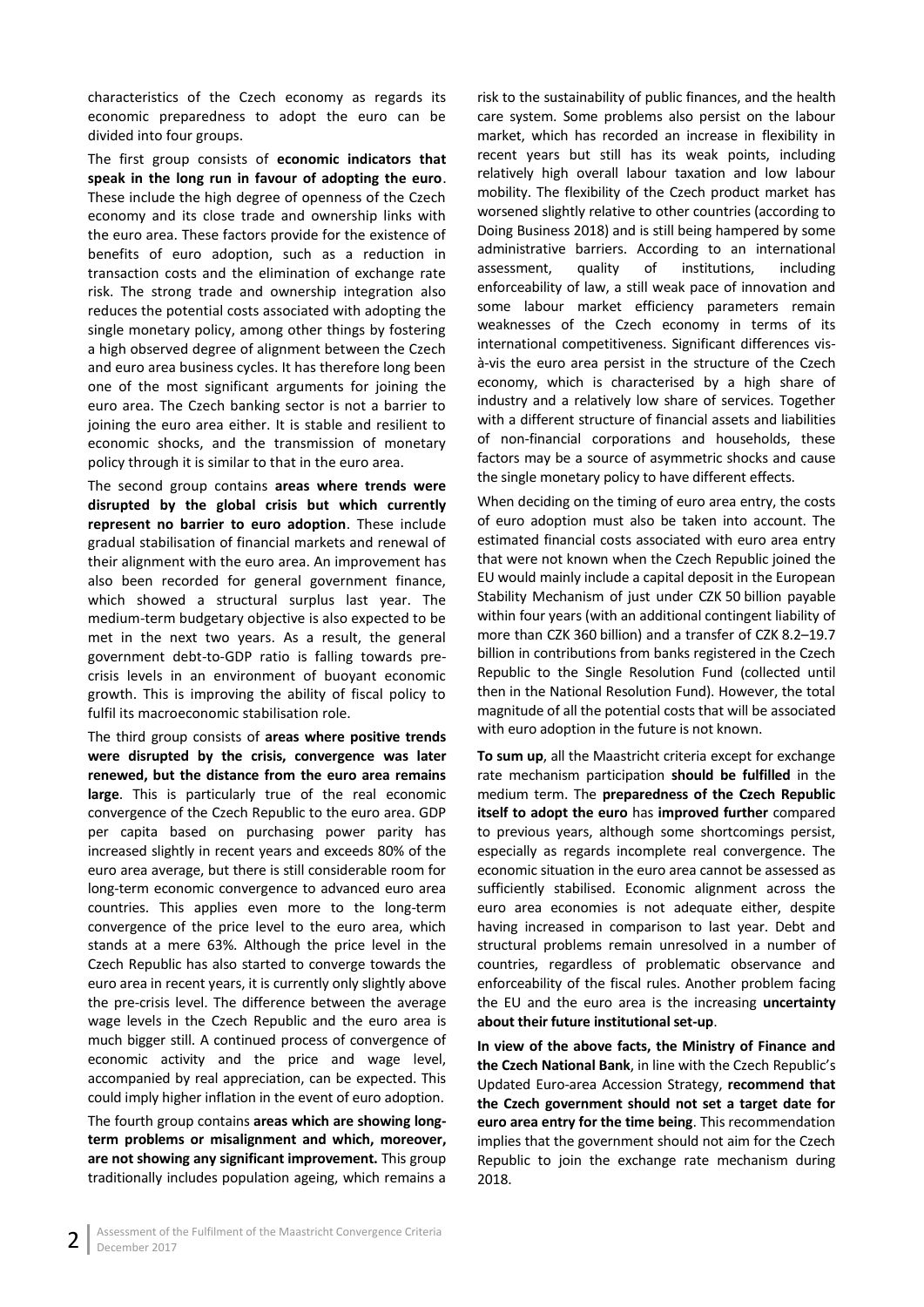characteristics of the Czech economy as regards its economic preparedness to adopt the euro can be divided into four groups.

The first group consists of **economic indicators that speak in the long run in favour of adopting the euro**. These include the high degree of openness of the Czech economy and its close trade and ownership links with the euro area. These factors provide for the existence of benefits of euro adoption, such as a reduction in transaction costs and the elimination of exchange rate risk. The strong trade and ownership integration also reduces the potential costs associated with adopting the single monetary policy, among other things by fostering a high observed degree of alignment between the Czech and euro area business cycles. It has therefore long been one of the most significant arguments for joining the euro area. The Czech banking sector is not a barrier to joining the euro area either. It is stable and resilient to economic shocks, and the transmission of monetary policy through it is similar to that in the euro area.

The second group contains **areas where trends were disrupted by the global crisis but which currently represent no barrier to euro adoption**. These include gradual stabilisation of financial markets and renewal of their alignment with the euro area. An improvement has also been recorded for general government finance, which showed a structural surplus last year. The medium-term budgetary objective is also expected to be met in the next two years. As a result, the general government debt-to-GDP ratio is falling towards precrisis levels in an environment of buoyant economic growth. This is improving the ability of fiscal policy to fulfil its macroeconomic stabilisation role.

The third group consists of **areas where positive trends were disrupted by the crisis, convergence was later renewed, but the distance from the euro area remains large**. This is particularly true of the real economic convergence of the Czech Republic to the euro area. GDP per capita based on purchasing power parity has increased slightly in recent years and exceeds 80% of the euro area average, but there is still considerable room for long-term economic convergence to advanced euro area countries. This applies even more to the long-term convergence of the price level to the euro area, which stands at a mere 63%. Although the price level in the Czech Republic has also started to converge towards the euro area in recent years, it is currently only slightly above the pre-crisis level. The difference between the average wage levels in the Czech Republic and the euro area is much bigger still. A continued process of convergence of economic activity and the price and wage level, accompanied by real appreciation, can be expected. This could imply higher inflation in the event of euro adoption.

The fourth group contains **areas which are showing longterm problems or misalignment and which, moreover, are not showing any significant improvement.** This group traditionally includes population ageing, which remains a

risk to the sustainability of public finances, and the health care system. Some problems also persist on the labour market, which has recorded an increase in flexibility in recent years but still has its weak points, including relatively high overall labour taxation and low labour mobility. The flexibility of the Czech product market has worsened slightly relative to other countries (according to Doing Business 2018) and is still being hampered by some administrative barriers. According to an international assessment, quality of institutions, including enforceability of law, a still weak pace of innovation and some labour market efficiency parameters remain weaknesses of the Czech economy in terms of its international competitiveness. Significant differences visà-vis the euro area persist in the structure of the Czech economy, which is characterised by a high share of industry and a relatively low share of services. Together with a different structure of financial assets and liabilities of non-financial corporations and households, these factors may be a source of asymmetric shocks and cause the single monetary policy to have different effects.

When deciding on the timing of euro area entry, the costs of euro adoption must also be taken into account. The estimated financial costs associated with euro area entry that were not known when the Czech Republic joined the EU would mainly include a capital deposit in the European Stability Mechanism of just under CZK 50 billion payable within four years (with an additional contingent liability of more than CZK 360 billion) and a transfer of CZK 8.2–19.7 billion in contributions from banks registered in the Czech Republic to the Single Resolution Fund (collected until then in the National Resolution Fund). However, the total magnitude of all the potential costs that will be associated with euro adoption in the future is not known.

**To sum up**, all the Maastricht criteria except for exchange rate mechanism participation **should be fulfilled** in the medium term. The **preparedness of the Czech Republic itself to adopt the euro** has **improved further** compared to previous years, although some shortcomings persist, especially as regards incomplete real convergence. The economic situation in the euro area cannot be assessed as sufficiently stabilised. Economic alignment across the euro area economies is not adequate either, despite having increased in comparison to last year. Debt and structural problems remain unresolved in a number of countries, regardless of problematic observance and enforceability of the fiscal rules. Another problem facing the EU and the euro area is the increasing **uncertainty about their future institutional set-up**.

**In view of the above facts, the Ministry of Finance and the Czech National Bank**, in line with the Czech Republic's Updated Euro-area Accession Strategy, **recommend that the Czech government should not set a target date for euro area entry for the time being**. This recommendation implies that the government should not aim for the Czech Republic to join the exchange rate mechanism during 2018.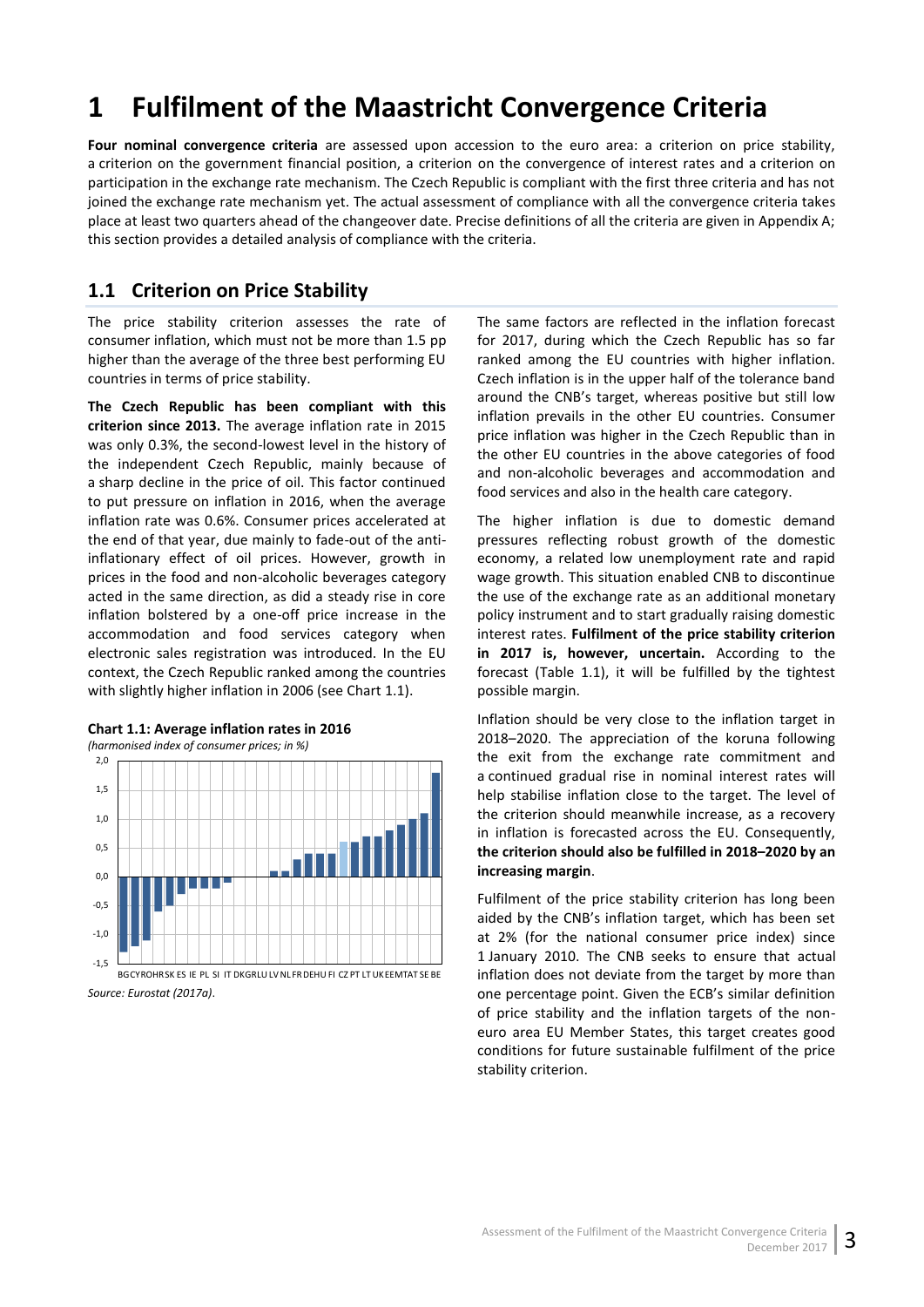# <span id="page-8-0"></span>**1 Fulfilment of the Maastricht Convergence Criteria**

**Four nominal convergence criteria** are assessed upon accession to the euro area: a criterion on price stability, a criterion on the government financial position, a criterion on the convergence of interest rates and a criterion on participation in the exchange rate mechanism. The Czech Republic is compliant with the first three criteria and has not joined the exchange rate mechanism yet. The actual assessment of compliance with all the convergence criteria takes place at least two quarters ahead of the changeover date. Precise definitions of all the criteria are given in Appendix A; this section provides a detailed analysis of compliance with the criteria.

## <span id="page-8-1"></span>**1.1 Criterion on Price Stability**

The price stability criterion assesses the rate of consumer inflation, which must not be more than 1.5 pp higher than the average of the three best performing EU countries in terms of price stability.

**The Czech Republic has been compliant with this criterion since 2013.** The average inflation rate in 2015 was only 0.3%, the second-lowest level in the history of the independent Czech Republic, mainly because of a sharp decline in the price of oil. This factor continued to put pressure on inflation in 2016, when the average inflation rate was 0.6%. Consumer prices accelerated at the end of that year, due mainly to fade-out of the antiinflationary effect of oil prices. However, growth in prices in the food and non-alcoholic beverages category acted in the same direction, as did a steady rise in core inflation bolstered by a one-off price increase in the accommodation and food services category when electronic sales registration was introduced. In the EU context, the Czech Republic ranked among the countries with slightly higher inflation in 2006 (see Chart 1.1).



### <span id="page-8-2"></span>**Chart 1.1: Average inflation rates in 2016**

The same factors are reflected in the inflation forecast for 2017, during which the Czech Republic has so far ranked among the EU countries with higher inflation. Czech inflation is in the upper half of the tolerance band around the CNB's target, whereas positive but still low inflation prevails in the other EU countries. Consumer price inflation was higher in the Czech Republic than in the other EU countries in the above categories of food and non-alcoholic beverages and accommodation and food services and also in the health care category.

The higher inflation is due to domestic demand pressures reflecting robust growth of the domestic economy, a related low unemployment rate and rapid wage growth. This situation enabled CNB to discontinue the use of the exchange rate as an additional monetary policy instrument and to start gradually raising domestic interest rates. **Fulfilment of the price stability criterion in 2017 is, however, uncertain.** According to the forecast (Table 1.1), it will be fulfilled by the tightest possible margin.

Inflation should be very close to the inflation target in 2018–2020. The appreciation of the koruna following the exit from the exchange rate commitment and a continued gradual rise in nominal interest rates will help stabilise inflation close to the target. The level of the criterion should meanwhile increase, as a recovery in inflation is forecasted across the EU. Consequently, **the criterion should also be fulfilled in 2018–2020 by an increasing margin**.

Fulfilment of the price stability criterion has long been aided by the CNB's inflation target, which has been set at 2% (for the national consumer price index) since 1 January 2010. The CNB seeks to ensure that actual inflation does not deviate from the target by more than one percentage point. Given the ECB's similar definition of price stability and the inflation targets of the noneuro area EU Member States, this target creates good conditions for future sustainable fulfilment of the price stability criterion.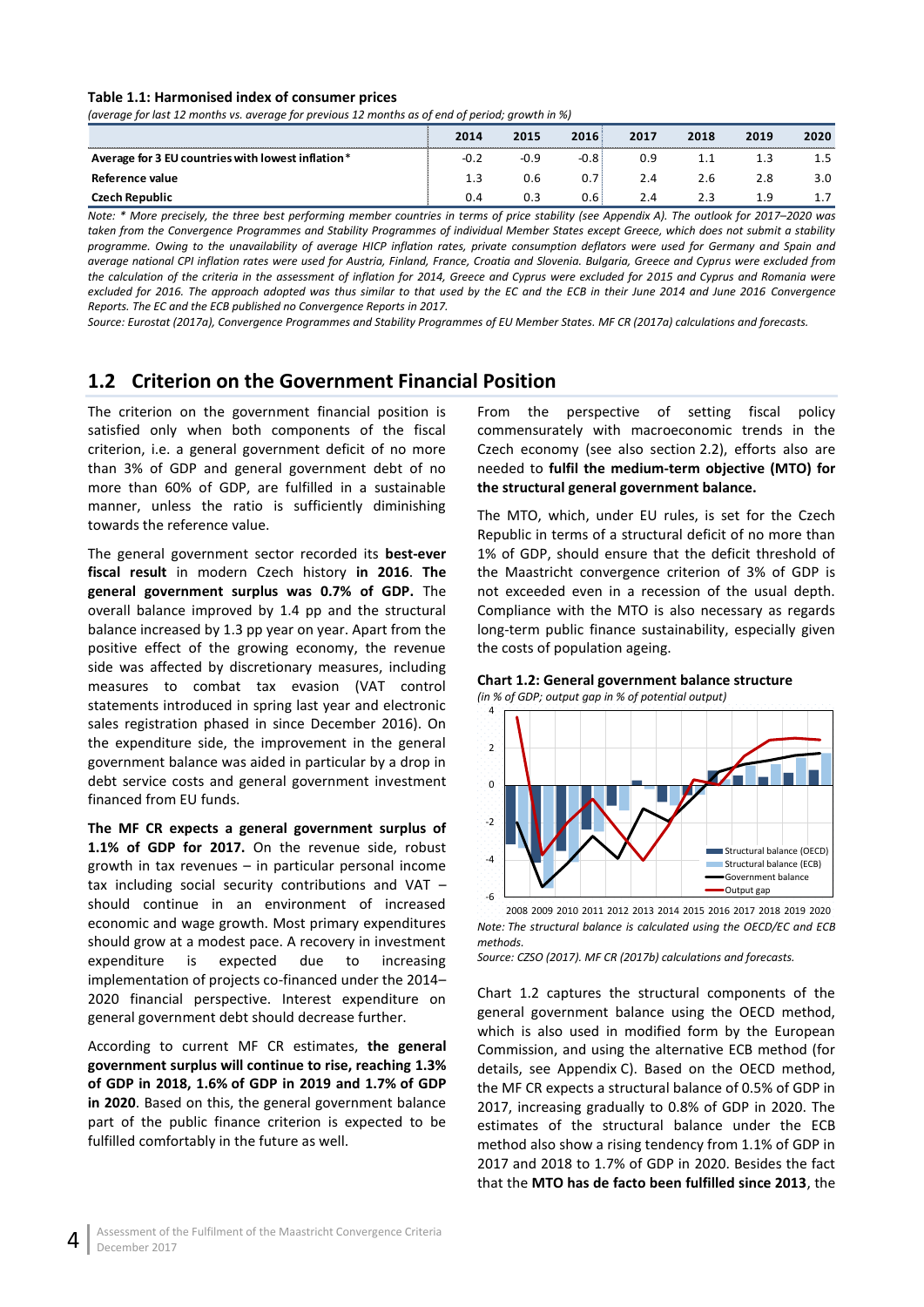#### <span id="page-9-1"></span>**Table 1.1: Harmonised index of consumer prices**

*(average for last 12 months vs. average for previous 12 months as of end of period; growth in %)*

|                                                   | 2014   | 2015 | 2016   | 2017 | 2018 | 2019 | 2020 |
|---------------------------------------------------|--------|------|--------|------|------|------|------|
| Average for 3 EU countries with lowest inflation* | $-0.2$ | -0.9 | $-0.8$ | 0.9  |      |      |      |
| Reference value                                   | 1.3    | 0.6  | 0.7    | 2.4  | 2.6  | 2.8  | 3.0  |
| Czech Republic                                    | 0.4    | 0.3  | 0.6    | 2.4  |      | 1 Q  |      |

*Note: \* More precisely, the three best performing member countries in terms of price stability (see Appendix A). The outlook for 2017–2020 was taken from the Convergence Programmes and Stability Programmes of individual Member States except Greece, which does not submit a stability programme. Owing to the unavailability of average HICP inflation rates, private consumption deflators were used for Germany and Spain and average national CPI inflation rates were used for Austria, Finland, France, Croatia and Slovenia. Bulgaria, Greece and Cyprus were excluded from the calculation of the criteria in the assessment of inflation for 2014, Greece and Cyprus were excluded for 2015 and Cyprus and Romania were excluded for 2016. The approach adopted was thus similar to that used by the EC and the ECB in their June 2014 and June 2016 Convergence Reports. The EC and the ECB published no Convergence Reports in 2017.*

*Source: Eurostat (2017a), Convergence Programmes and Stability Programmes of EU Member States. MF CR (2017a) calculations and forecasts.*

## <span id="page-9-0"></span>**1.2 Criterion on the Government Financial Position**

The criterion on the government financial position is satisfied only when both components of the fiscal criterion, i.e. a general government deficit of no more than 3% of GDP and general government debt of no more than 60% of GDP, are fulfilled in a sustainable manner, unless the ratio is sufficiently diminishing towards the reference value.

The general government sector recorded its **best-ever fiscal result** in modern Czech history **in 2016**. **The general government surplus was 0.7% of GDP.** The overall balance improved by 1.4 pp and the structural balance increased by 1.3 pp year on year. Apart from the positive effect of the growing economy, the revenue side was affected by discretionary measures, including measures to combat tax evasion (VAT control statements introduced in spring last year and electronic sales registration phased in since December 2016). On the expenditure side, the improvement in the general government balance was aided in particular by a drop in debt service costs and general government investment financed from EU funds.

**The MF CR expects a general government surplus of 1.1% of GDP for 2017.** On the revenue side, robust growth in tax revenues – in particular personal income tax including social security contributions and VAT – should continue in an environment of increased economic and wage growth. Most primary expenditures should grow at a modest pace. A recovery in investment expenditure is expected due to increasing implementation of projects co-financed under the 2014– 2020 financial perspective. Interest expenditure on general government debt should decrease further.

According to current MF CR estimates, **the general government surplus will continue to rise, reaching 1.3% of GDP in 2018, 1.6% of GDP in 2019 and 1.7% of GDP in 2020**. Based on this, the general government balance part of the public finance criterion is expected to be fulfilled comfortably in the future as well.

From the perspective of setting fiscal policy commensurately with macroeconomic trends in the Czech economy (see also section 2.2), efforts also are needed to **fulfil the medium-term objective (MTO) for the structural general government balance.**

The MTO, which, under EU rules, is set for the Czech Republic in terms of a structural deficit of no more than 1% of GDP, should ensure that the deficit threshold of the Maastricht convergence criterion of 3% of GDP is not exceeded even in a recession of the usual depth. Compliance with the MTO is also necessary as regards long-term public finance sustainability, especially given the costs of population ageing.

#### <span id="page-9-2"></span>**Chart 1.2: General government balance structure** *(in % of GDP; output gap in % of potential output)*



*Note: The structural balance is calculated using the OECD/EC and ECB methods.* 2008 2009 2010 2011 2012 2013 2014 2015 2016 2017 2018 2019 2020

*Source: CZSO (2017). MF CR (2017b) calculations and forecasts.*

Chart 1.2 captures the structural components of the general government balance using the OECD method, which is also used in modified form by the European Commission, and using the alternative ECB method (for details, see Appendix C). Based on the OECD method, the MF CR expects a structural balance of 0.5% of GDP in 2017, increasing gradually to 0.8% of GDP in 2020. The estimates of the structural balance under the ECB method also show a rising tendency from 1.1% of GDP in 2017 and 2018 to 1.7% of GDP in 2020. Besides the fact that the **MTO has de facto been fulfilled since 2013**, the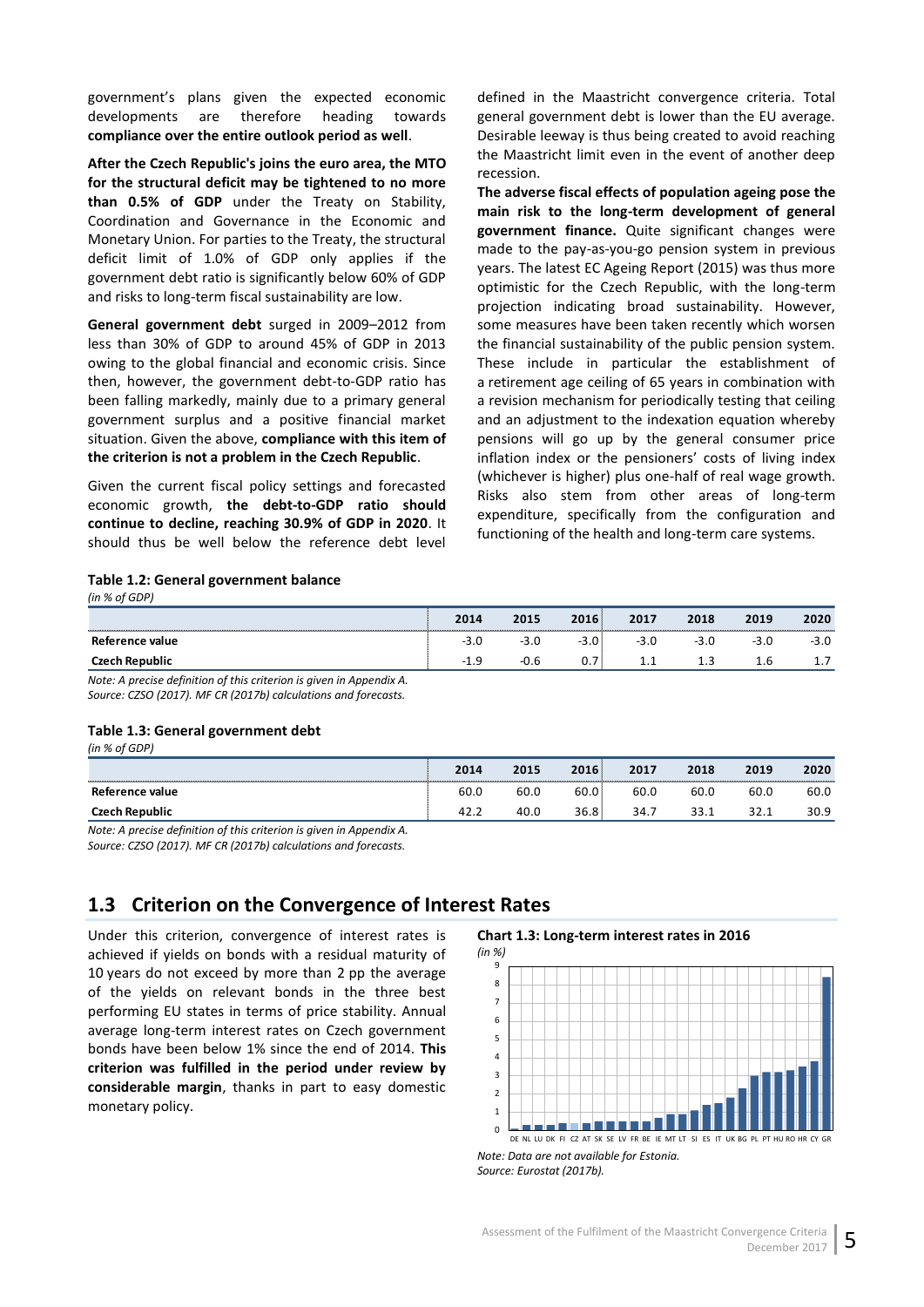government's plans given the expected economic developments are therefore heading towards **compliance over the entire outlook period as well**.

**After the Czech Republic's joins the euro area, the MTO for the structural deficit may be tightened to no more than 0.5% of GDP** under the Treaty on Stability, Coordination and Governance in the Economic and Monetary Union. For parties to the Treaty, the structural deficit limit of 1.0% of GDP only applies if the government debt ratio is significantly below 60% of GDP and risks to long-term fiscal sustainability are low.

**General government debt** surged in 2009–2012 from less than 30% of GDP to around 45% of GDP in 2013 owing to the global financial and economic crisis. Since then, however, the government debt-to-GDP ratio has been falling markedly, mainly due to a primary general government surplus and a positive financial market situation. Given the above, **compliance with this item of the criterion is not a problem in the Czech Republic**.

Given the current fiscal policy settings and forecasted economic growth, **the debt-to-GDP ratio should continue to decline, reaching 30.9% of GDP in 2020**. It should thus be well below the reference debt level defined in the Maastricht convergence criteria. Total general government debt is lower than the EU average. Desirable leeway is thus being created to avoid reaching the Maastricht limit even in the event of another deep recession.

**The adverse fiscal effects of population ageing pose the main risk to the long-term development of general government finance.** Quite significant changes were made to the pay-as-you-go pension system in previous years. The latest EC Ageing Report (2015) was thus more optimistic for the Czech Republic, with the long-term projection indicating broad sustainability. However, some measures have been taken recently which worsen the financial sustainability of the public pension system. These include in particular the establishment of a retirement age ceiling of 65 years in combination with a revision mechanism for periodically testing that ceiling and an adjustment to the indexation equation whereby pensions will go up by the general consumer price inflation index or the pensioners' costs of living index (whichever is higher) plus one-half of real wage growth. Risks also stem from other areas of long-term expenditure, specifically from the configuration and functioning of the health and long-term care systems.

#### <span id="page-10-1"></span>**Table 1.2: General government balance**

|             |                          |    | 2010     |          | 2018 | 2019 |            |
|-------------|--------------------------|----|----------|----------|------|------|------------|
| rence value | - 5<br>ں ر               | -- | <u>.</u> | ں ر      |      |      | - 7<br>. د |
|             | $\overline{\phantom{0}}$ |    | v.       | <b>.</b> | --   |      |            |

<span id="page-10-2"></span>*Note: A precise definition of this criterion is given in Appendix A. Source: CZSO (2017). MF CR (2017b) calculations and forecasts.*

#### **Table 1.3: General government debt**

*(in % of GDP)*

*(in % of GDP)*

|                 | 2014 | 2015 | 2016 | 2017   | 2018        | 2019 | 2020 |
|-----------------|------|------|------|--------|-------------|------|------|
| Reference value | 60.0 | 60.L | ov.u | 60.0   | 60.0        | 60.C | 60.0 |
| $-$             |      |      | 36.8 | RЯ<br> | <u>JJ.L</u> | ---  | 30.9 |

*Note: A precise definition of this criterion is given in Appendix A. Source: CZSO (2017). MF CR (2017b) calculations and forecasts.* 

## <span id="page-10-0"></span>**1.3 Criterion on the Convergence of Interest Rates**

Under this criterion, convergence of interest rates is achieved if yields on bonds with a residual maturity of 10 years do not exceed by more than 2 pp the average of the yields on relevant bonds in the three best performing EU states in terms of price stability. Annual average long-term interest rates on Czech government bonds have been below 1% since the end of 2014. **This criterion was fulfilled in the period under review by considerable margin**, thanks in part to easy domestic monetary policy.

#### <span id="page-10-3"></span>**Chart 1.3: Long-term interest rates in 2016**



*Note: Data are not available for Estonia. Source: Eurostat (2017b).*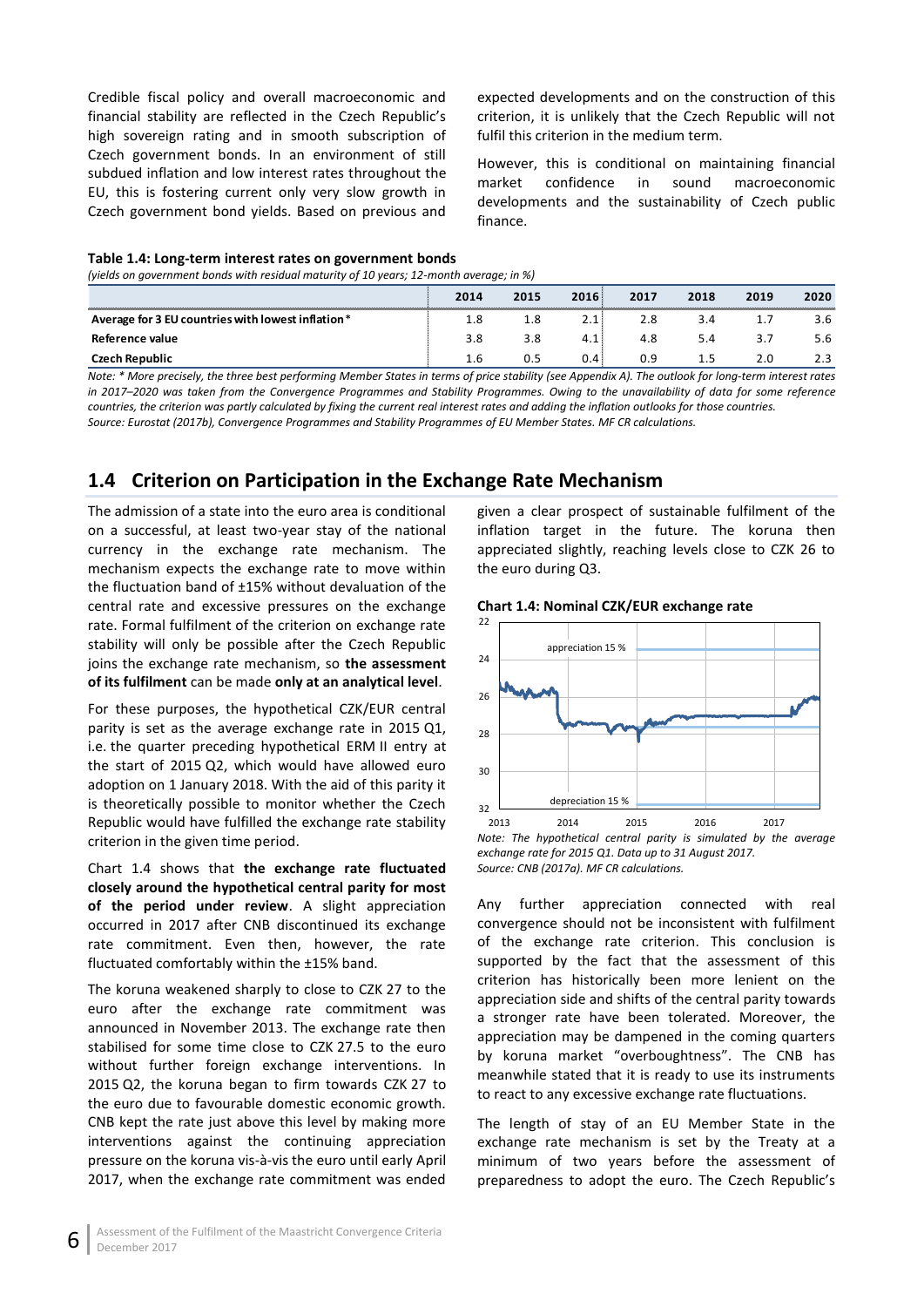Credible fiscal policy and overall macroeconomic and financial stability are reflected in the Czech Republic's high sovereign rating and in smooth subscription of Czech government bonds. In an environment of still subdued inflation and low interest rates throughout the EU, this is fostering current only very slow growth in Czech government bond yields. Based on previous and

expected developments and on the construction of this criterion, it is unlikely that the Czech Republic will not fulfil this criterion in the medium term.

However, this is conditional on maintaining financial market confidence in sound macroeconomic developments and the sustainability of Czech public finance.

#### <span id="page-11-1"></span>**Table 1.4: Long-term interest rates on government bonds**

*(yields on government bonds with residual maturity of 10 years; 12-month average; in %)*

| <b><i><u>PERSONAL PROPERTY AND RESIDENTS OF THE RESIDENTS OF THE RESIDENTS OF THE RESIDENTS OF THE RESIDENTS OF THE RESIDENTS OF THE RESIDENTS OF THE RESIDENTS OF THE RESIDENTS OF THE RESIDENTS OF THE RESIDENTS OF THE RESIDENTS </u></i></b> | 2014 | 2015  | 2016         | 2017 | 2018 | 2019 | 2020 |
|--------------------------------------------------------------------------------------------------------------------------------------------------------------------------------------------------------------------------------------------------|------|-------|--------------|------|------|------|------|
| Average for 3 EU countries with lowest inflation*                                                                                                                                                                                                |      | . . 8 | <u> 2. l</u> | 2.8  | 3.4  |      | 3.6  |
| Reference value                                                                                                                                                                                                                                  | 3.8  |       |              | 4.8  | 5.4  |      | 5.6  |
| Czech Republic                                                                                                                                                                                                                                   |      |       |              | 0.9  |      |      |      |

*Note: \* More precisely, the three best performing Member States in terms of price stability (see Appendix A). The outlook for long-term interest rates in 2017–2020 was taken from the Convergence Programmes and Stability Programmes. Owing to the unavailability of data for some reference countries, the criterion was partly calculated by fixing the current real interest rates and adding the inflation outlooks for those countries. Source: Eurostat (2017b), Convergence Programmes and Stability Programmes of EU Member States. MF CR calculations.*

## <span id="page-11-0"></span>**1.4 Criterion on Participation in the Exchange Rate Mechanism**

The admission of a state into the euro area is conditional on a successful, at least two-year stay of the national currency in the exchange rate mechanism. The mechanism expects the exchange rate to move within the fluctuation band of ±15% without devaluation of the central rate and excessive pressures on the exchange rate. Formal fulfilment of the criterion on exchange rate stability will only be possible after the Czech Republic joins the exchange rate mechanism, so **the assessment of its fulfilment** can be made **only at an analytical level**.

For these purposes, the hypothetical CZK/EUR central parity is set as the average exchange rate in 2015 Q1, i.e. the quarter preceding hypothetical ERM II entry at the start of 2015 Q2, which would have allowed euro adoption on 1 January 2018. With the aid of this parity it is theoretically possible to monitor whether the Czech Republic would have fulfilled the exchange rate stability criterion in the given time period.

Chart 1.4 shows that **the exchange rate fluctuated closely around the hypothetical central parity for most of the period under review**. A slight appreciation occurred in 2017 after CNB discontinued its exchange rate commitment. Even then, however, the rate fluctuated comfortably within the ±15% band.

The koruna weakened sharply to close to CZK 27 to the euro after the exchange rate commitment was announced in November 2013. The exchange rate then stabilised for some time close to CZK 27.5 to the euro without further foreign exchange interventions. In 2015 Q2, the koruna began to firm towards CZK 27 to the euro due to favourable domestic economic growth. CNB kept the rate just above this level by making more interventions against the continuing appreciation pressure on the koruna vis-à-vis the euro until early April 2017, when the exchange rate commitment was ended

given a clear prospect of sustainable fulfilment of the inflation target in the future. The koruna then appreciated slightly, reaching levels close to CZK 26 to the euro during Q3.

<span id="page-11-2"></span>



*Note: The hypothetical central parity is simulated by the average exchange rate for 2015 Q1. Data up to 31 August 2017. Source: CNB (2017a). MF CR calculations.*

Any further appreciation connected with real convergence should not be inconsistent with fulfilment of the exchange rate criterion. This conclusion is supported by the fact that the assessment of this criterion has historically been more lenient on the appreciation side and shifts of the central parity towards a stronger rate have been tolerated. Moreover, the appreciation may be dampened in the coming quarters by koruna market "overboughtness". The CNB has meanwhile stated that it is ready to use its instruments to react to any excessive exchange rate fluctuations.

The length of stay of an EU Member State in the exchange rate mechanism is set by the Treaty at a minimum of two years before the assessment of preparedness to adopt the euro. The Czech Republic's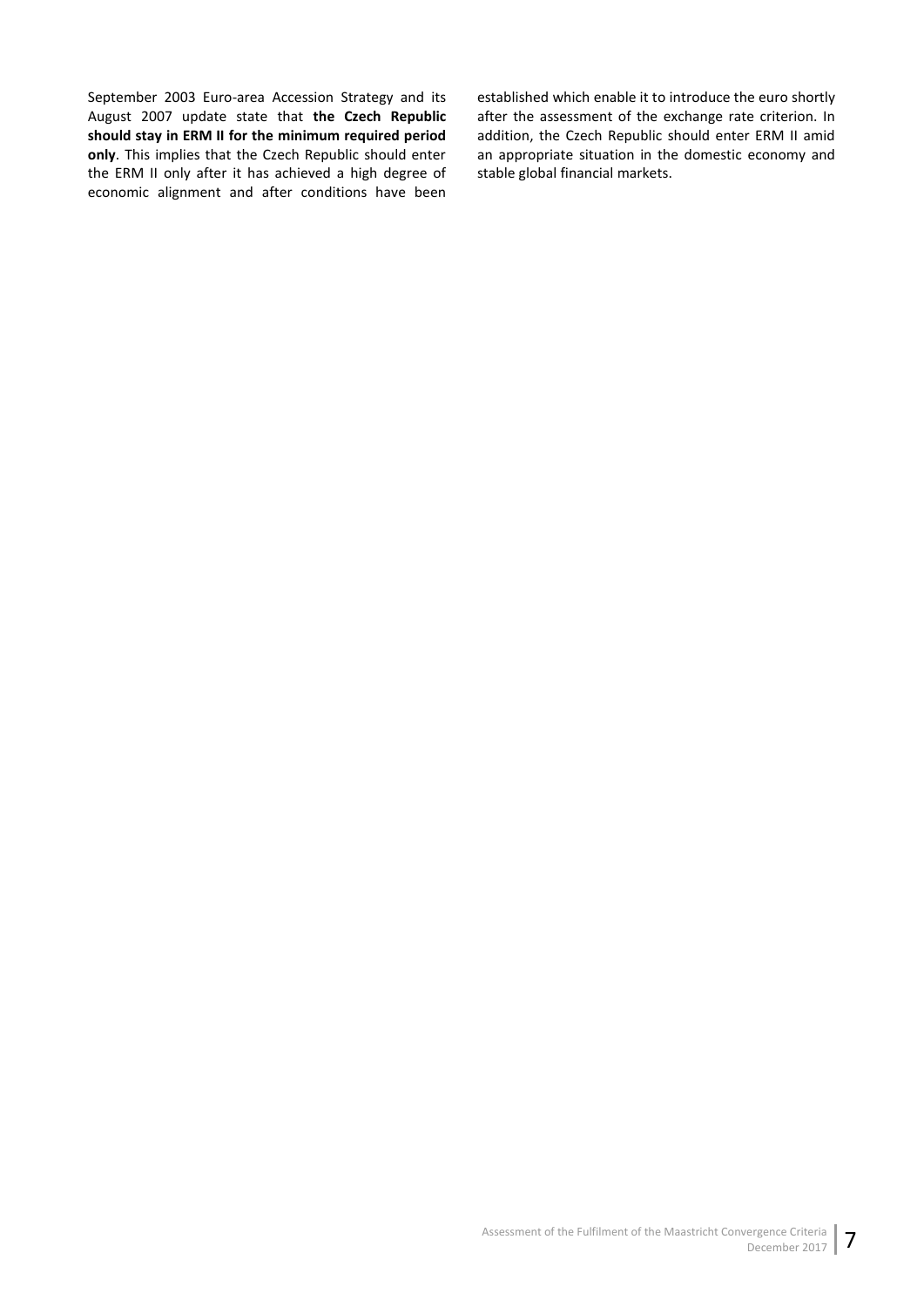September 2003 Euro-area Accession Strategy and its August 2007 update state that **the Czech Republic should stay in ERM II for the minimum required period only**. This implies that the Czech Republic should enter the ERM II only after it has achieved a high degree of economic alignment and after conditions have been

established which enable it to introduce the euro shortly after the assessment of the exchange rate criterion. In addition, the Czech Republic should enter ERM II amid an appropriate situation in the domestic economy and stable global financial markets.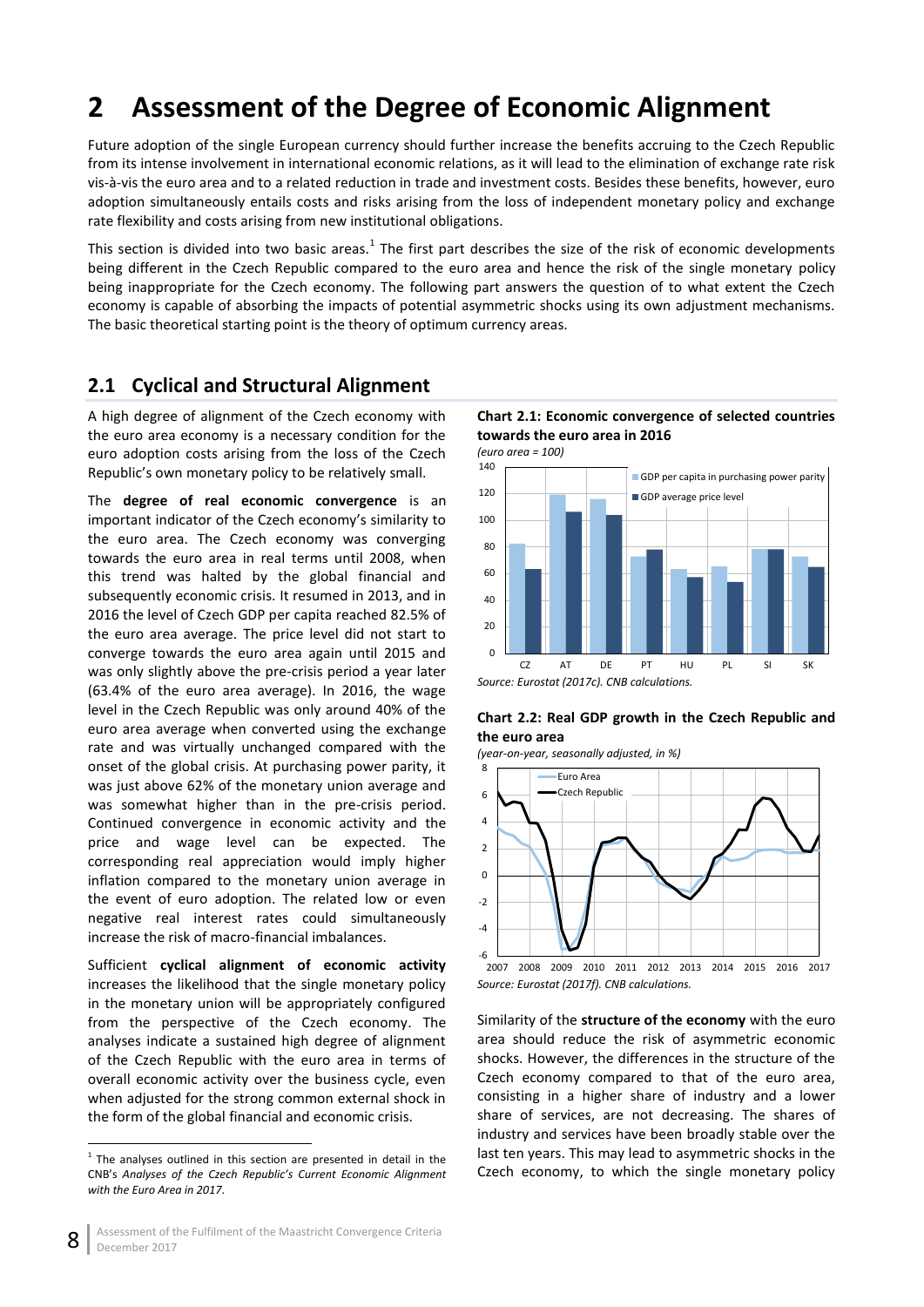# <span id="page-13-0"></span>**2 Assessment of the Degree of Economic Alignment**

Future adoption of the single European currency should further increase the benefits accruing to the Czech Republic from its intense involvement in international economic relations, as it will lead to the elimination of exchange rate risk vis-à-vis the euro area and to a related reduction in trade and investment costs. Besides these benefits, however, euro adoption simultaneously entails costs and risks arising from the loss of independent monetary policy and exchange rate flexibility and costs arising from new institutional obligations.

This section is divided into two basic areas. $^1$  The first part describes the size of the risk of economic developments being different in the Czech Republic compared to the euro area and hence the risk of the single monetary policy being inappropriate for the Czech economy. The following part answers the question of to what extent the Czech economy is capable of absorbing the impacts of potential asymmetric shocks using its own adjustment mechanisms. The basic theoretical starting point is the theory of optimum currency areas.

## <span id="page-13-1"></span>**2.1 Cyclical and Structural Alignment**

A high degree of alignment of the Czech economy with the euro area economy is a necessary condition for the euro adoption costs arising from the loss of the Czech Republic's own monetary policy to be relatively small.

The **degree of real economic convergence** is an important indicator of the Czech economy's similarity to the euro area. The Czech economy was converging towards the euro area in real terms until 2008, when this trend was halted by the global financial and subsequently economic crisis. It resumed in 2013, and in 2016 the level of Czech GDP per capita reached 82.5% of the euro area average. The price level did not start to converge towards the euro area again until 2015 and was only slightly above the pre-crisis period a year later (63.4% of the euro area average). In 2016, the wage level in the Czech Republic was only around 40% of the euro area average when converted using the exchange rate and was virtually unchanged compared with the onset of the global crisis. At purchasing power parity, it was just above 62% of the monetary union average and was somewhat higher than in the pre-crisis period. Continued convergence in economic activity and the price and wage level can be expected. The corresponding real appreciation would imply higher inflation compared to the monetary union average in the event of euro adoption. The related low or even negative real interest rates could simultaneously increase the risk of macro-financial imbalances.

Sufficient **cyclical alignment of economic activity**  increases the likelihood that the single monetary policy in the monetary union will be appropriately configured from the perspective of the Czech economy. The analyses indicate a sustained high degree of alignment of the Czech Republic with the euro area in terms of overall economic activity over the business cycle, even when adjusted for the strong common external shock in the form of the global financial and economic crisis.

**.** 

### <span id="page-13-2"></span>**Chart 2.1: Economic convergence of selected countries towards the euro area in 2016**





<span id="page-13-3"></span>



*Source: Eurostat (2017f). CNB calculations.*

Similarity of the **structure of the economy** with the euro area should reduce the risk of asymmetric economic shocks. However, the differences in the structure of the Czech economy compared to that of the euro area, consisting in a higher share of industry and a lower share of services, are not decreasing. The shares of industry and services have been broadly stable over the last ten years. This may lead to asymmetric shocks in the Czech economy, to which the single monetary policy

<sup>1</sup> The analyses outlined in this section are presented in detail in the CNB's *Analyses of the Czech Republic's Current Economic Alignment with the Euro Area in 2017*.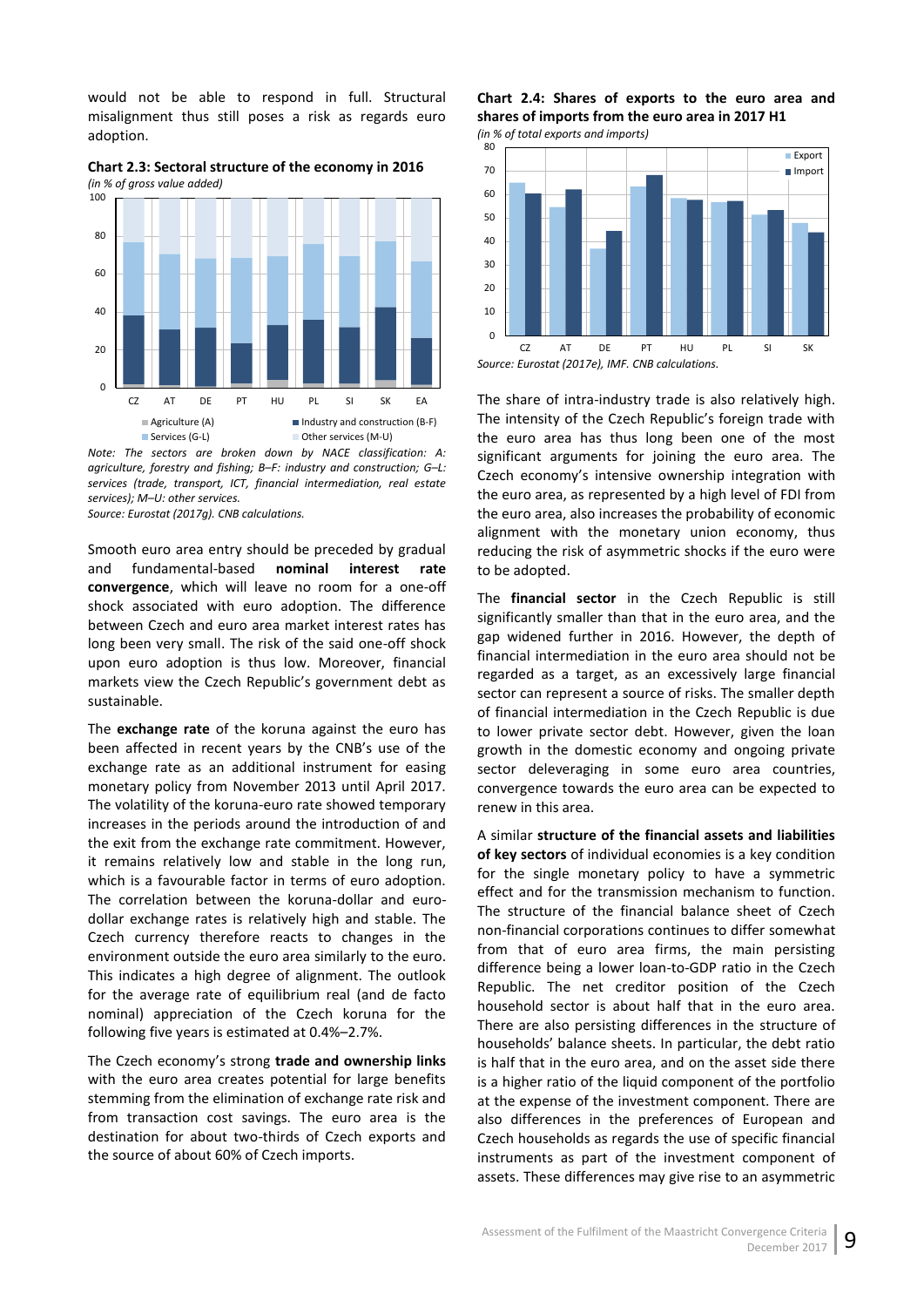would not be able to respond in full. Structural misalignment thus still poses a risk as regards euro adoption.

<span id="page-14-0"></span>**Chart 2.3: Sectoral structure of the economy in 2016** *(in % of gross value added)*



*Note: The sectors are broken down by NACE classification: A: agriculture, forestry and fishing; B–F: industry and construction; G–L: services (trade, transport, ICT, financial intermediation, real estate services); M–U: other services.*

*Source: Eurostat (2017g). CNB calculations.*

Smooth euro area entry should be preceded by gradual and fundamental-based **nominal interest rate convergence**, which will leave no room for a one-off shock associated with euro adoption. The difference between Czech and euro area market interest rates has long been very small. The risk of the said one-off shock upon euro adoption is thus low. Moreover, financial markets view the Czech Republic's government debt as sustainable.

The **exchange rate** of the koruna against the euro has been affected in recent years by the CNB's use of the exchange rate as an additional instrument for easing monetary policy from November 2013 until April 2017. The volatility of the koruna-euro rate showed temporary increases in the periods around the introduction of and the exit from the exchange rate commitment. However, it remains relatively low and stable in the long run, which is a favourable factor in terms of euro adoption. The correlation between the koruna-dollar and eurodollar exchange rates is relatively high and stable. The Czech currency therefore reacts to changes in the environment outside the euro area similarly to the euro. This indicates a high degree of alignment. The outlook for the average rate of equilibrium real (and de facto nominal) appreciation of the Czech koruna for the following five years is estimated at 0.4%–2.7%.

The Czech economy's strong **trade and ownership links** with the euro area creates potential for large benefits stemming from the elimination of exchange rate risk and from transaction cost savings. The euro area is the destination for about two-thirds of Czech exports and the source of about 60% of Czech imports.

<span id="page-14-1"></span>**Chart 2.4: Shares of exports to the euro area and shares of imports from the euro area in 2017 H1** *(in % of total exports and imports)*



The share of intra-industry trade is also relatively high. The intensity of the Czech Republic's foreign trade with the euro area has thus long been one of the most significant arguments for joining the euro area. The Czech economy's intensive ownership integration with the euro area, as represented by a high level of FDI from the euro area, also increases the probability of economic alignment with the monetary union economy, thus reducing the risk of asymmetric shocks if the euro were to be adopted.

The **financial sector** in the Czech Republic is still significantly smaller than that in the euro area, and the gap widened further in 2016. However, the depth of financial intermediation in the euro area should not be regarded as a target, as an excessively large financial sector can represent a source of risks. The smaller depth of financial intermediation in the Czech Republic is due to lower private sector debt. However, given the loan growth in the domestic economy and ongoing private sector deleveraging in some euro area countries, convergence towards the euro area can be expected to renew in this area.

A similar **structure of the financial assets and liabilities of key sectors** of individual economies is a key condition for the single monetary policy to have a symmetric effect and for the transmission mechanism to function. The structure of the financial balance sheet of Czech non-financial corporations continues to differ somewhat from that of euro area firms, the main persisting difference being a lower loan-to-GDP ratio in the Czech Republic. The net creditor position of the Czech household sector is about half that in the euro area. There are also persisting differences in the structure of households' balance sheets. In particular, the debt ratio is half that in the euro area, and on the asset side there is a higher ratio of the liquid component of the portfolio at the expense of the investment component. There are also differences in the preferences of European and Czech households as regards the use of specific financial instruments as part of the investment component of assets. These differences may give rise to an asymmetric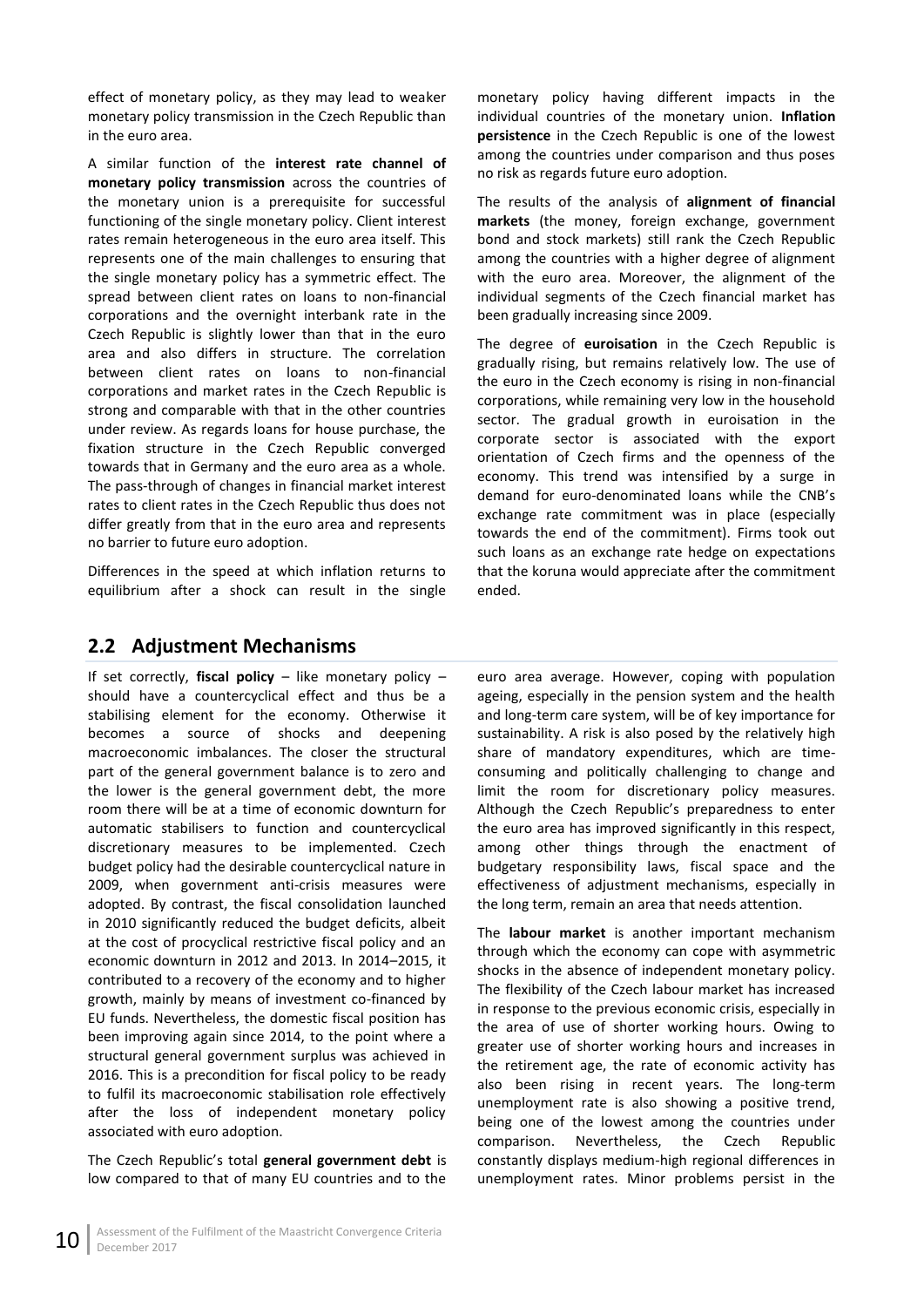effect of monetary policy, as they may lead to weaker monetary policy transmission in the Czech Republic than in the euro area.

A similar function of the **interest rate channel of monetary policy transmission** across the countries of the monetary union is a prerequisite for successful functioning of the single monetary policy. Client interest rates remain heterogeneous in the euro area itself. This represents one of the main challenges to ensuring that the single monetary policy has a symmetric effect. The spread between client rates on loans to non-financial corporations and the overnight interbank rate in the Czech Republic is slightly lower than that in the euro area and also differs in structure. The correlation between client rates on loans to non-financial corporations and market rates in the Czech Republic is strong and comparable with that in the other countries under review. As regards loans for house purchase, the fixation structure in the Czech Republic converged towards that in Germany and the euro area as a whole. The pass-through of changes in financial market interest rates to client rates in the Czech Republic thus does not differ greatly from that in the euro area and represents no barrier to future euro adoption.

Differences in the speed at which inflation returns to equilibrium after a shock can result in the single monetary policy having different impacts in the individual countries of the monetary union. **Inflation persistence** in the Czech Republic is one of the lowest among the countries under comparison and thus poses no risk as regards future euro adoption.

The results of the analysis of **alignment of financial markets** (the money, foreign exchange, government bond and stock markets) still rank the Czech Republic among the countries with a higher degree of alignment with the euro area. Moreover, the alignment of the individual segments of the Czech financial market has been gradually increasing since 2009.

The degree of **euroisation** in the Czech Republic is gradually rising, but remains relatively low. The use of the euro in the Czech economy is rising in non-financial corporations, while remaining very low in the household sector. The gradual growth in euroisation in the corporate sector is associated with the export orientation of Czech firms and the openness of the economy. This trend was intensified by a surge in demand for euro-denominated loans while the CNB's exchange rate commitment was in place (especially towards the end of the commitment). Firms took out such loans as an exchange rate hedge on expectations that the koruna would appreciate after the commitment ended.

## <span id="page-15-0"></span>**2.2 Adjustment Mechanisms**

If set correctly, **fiscal policy** – like monetary policy – should have a countercyclical effect and thus be a stabilising element for the economy. Otherwise it becomes a source of shocks and deepening macroeconomic imbalances. The closer the structural part of the general government balance is to zero and the lower is the general government debt, the more room there will be at a time of economic downturn for automatic stabilisers to function and countercyclical discretionary measures to be implemented. Czech budget policy had the desirable countercyclical nature in 2009, when government anti-crisis measures were adopted. By contrast, the fiscal consolidation launched in 2010 significantly reduced the budget deficits, albeit at the cost of procyclical restrictive fiscal policy and an economic downturn in 2012 and 2013. In 2014–2015, it contributed to a recovery of the economy and to higher growth, mainly by means of investment co-financed by EU funds. Nevertheless, the domestic fiscal position has been improving again since 2014, to the point where a structural general government surplus was achieved in 2016. This is a precondition for fiscal policy to be ready to fulfil its macroeconomic stabilisation role effectively after the loss of independent monetary policy associated with euro adoption.

The Czech Republic's total **general government debt** is low compared to that of many EU countries and to the

euro area average. However, coping with population ageing, especially in the pension system and the health and long-term care system, will be of key importance for sustainability. A risk is also posed by the relatively high share of mandatory expenditures, which are timeconsuming and politically challenging to change and limit the room for discretionary policy measures. Although the Czech Republic's preparedness to enter the euro area has improved significantly in this respect, among other things through the enactment of budgetary responsibility laws, fiscal space and the effectiveness of adjustment mechanisms, especially in the long term, remain an area that needs attention.

The **labour market** is another important mechanism through which the economy can cope with asymmetric shocks in the absence of independent monetary policy. The flexibility of the Czech labour market has increased in response to the previous economic crisis, especially in the area of use of shorter working hours. Owing to greater use of shorter working hours and increases in the retirement age, the rate of economic activity has also been rising in recent years. The long-term unemployment rate is also showing a positive trend, being one of the lowest among the countries under comparison. Nevertheless, the Czech Republic constantly displays medium-high regional differences in unemployment rates. Minor problems persist in the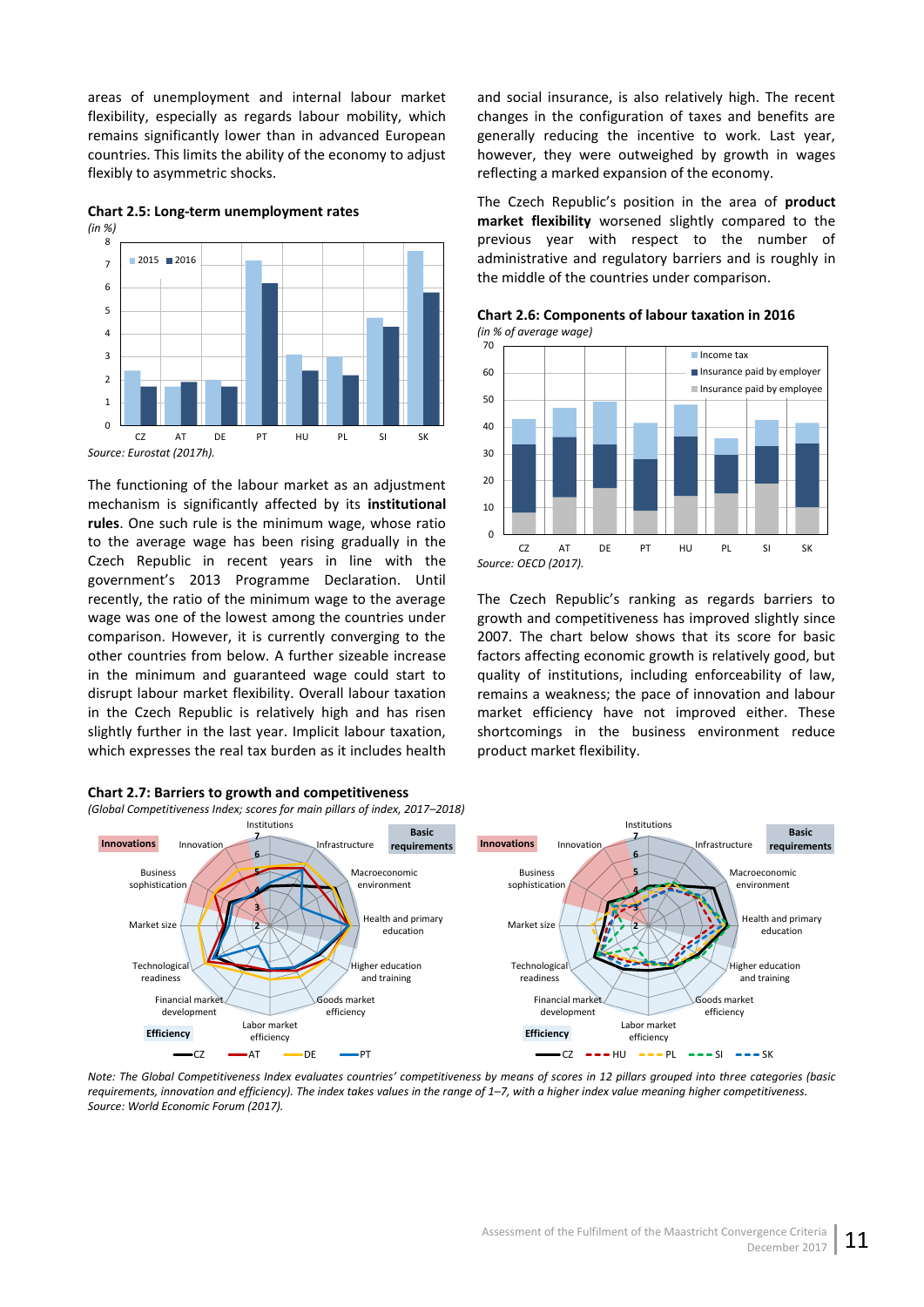areas of unemployment and internal labour market flexibility, especially as regards labour mobility, which remains significantly lower than in advanced European countries. This limits the ability of the economy to adjust flexibly to asymmetric shocks.

<span id="page-16-0"></span>**Chart 2.5: Long-term unemployment rates** *(in %)*



*Source: Eurostat (2017h).*

The functioning of the labour market as an adjustment mechanism is significantly affected by its **institutional rules**. One such rule is the minimum wage, whose ratio to the average wage has been rising gradually in the Czech Republic in recent years in line with the government's 2013 Programme Declaration. Until recently, the ratio of the minimum wage to the average wage was one of the lowest among the countries under comparison. However, it is currently converging to the other countries from below. A further sizeable increase in the minimum and guaranteed wage could start to disrupt labour market flexibility. Overall labour taxation in the Czech Republic is relatively high and has risen slightly further in the last year. Implicit labour taxation, which expresses the real tax burden as it includes health

<span id="page-16-2"></span>

The Czech Republic's position in the area of **product market flexibility** worsened slightly compared to the previous year with respect to the number of administrative and regulatory barriers and is roughly in the middle of the countries under comparison. **Chart 2.6: Components of labour taxation in 2016**

reflecting a marked expansion of the economy.

<span id="page-16-1"></span>

and social insurance, is also relatively high. The recent changes in the configuration of taxes and benefits are generally reducing the incentive to work. Last year, however, they were outweighed by growth in wages

The Czech Republic's ranking as regards barriers to growth and competitiveness has improved slightly since 2007. The chart below shows that its score for basic factors affecting economic growth is relatively good, but quality of institutions, including enforceability of law, remains a weakness; the pace of innovation and labour market efficiency have not improved either. These shortcomings in the business environment reduce product market flexibility.



*Note: The Global Competitiveness Index evaluates countries' competitiveness by means of scores in 12 pillars grouped into three categories (basic requirements, innovation and efficiency). The index takes values in the range of 1–7, with a higher index value meaning higher competitiveness. Source: World Economic Forum (2017).*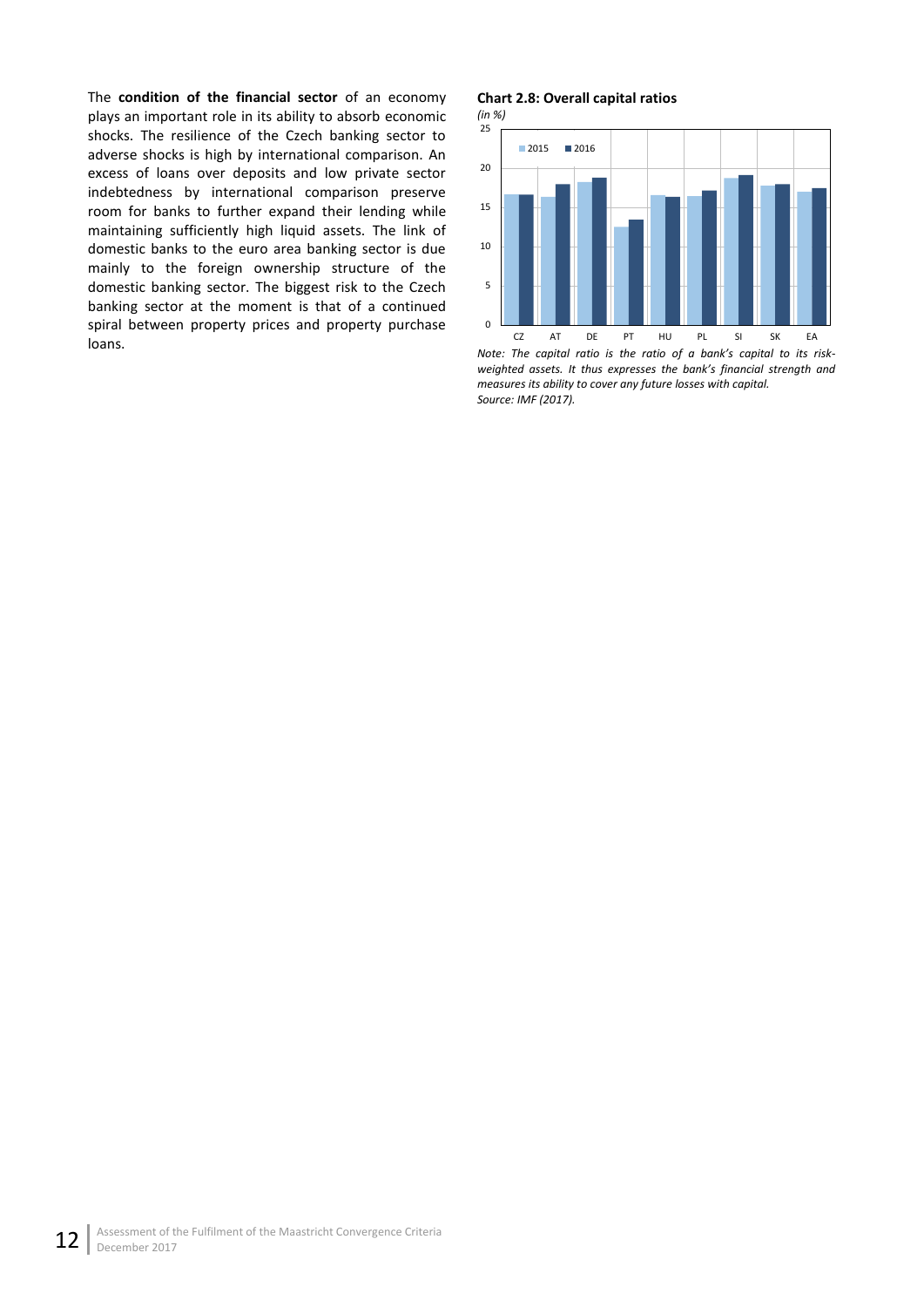The **condition of the financial sector** of an economy plays an important role in its ability to absorb economic shocks. The resilience of the Czech banking sector to adverse shocks is high by international comparison. An excess of loans over deposits and low private sector indebtedness by international comparison preserve room for banks to further expand their lending while maintaining sufficiently high liquid assets. The link of domestic banks to the euro area banking sector is due mainly to the foreign ownership structure of the domestic banking sector. The biggest risk to the Czech banking sector at the moment is that of a continued spiral between property prices and property purchase loans.

### <span id="page-17-0"></span>**Chart 2.8: Overall capital ratios**

*(in %)*



*Note: The capital ratio is the ratio of a bank's capital to its riskweighted assets. It thus expresses the bank's financial strength and measures its ability to cover any future losses with capital. Source: IMF (2017).*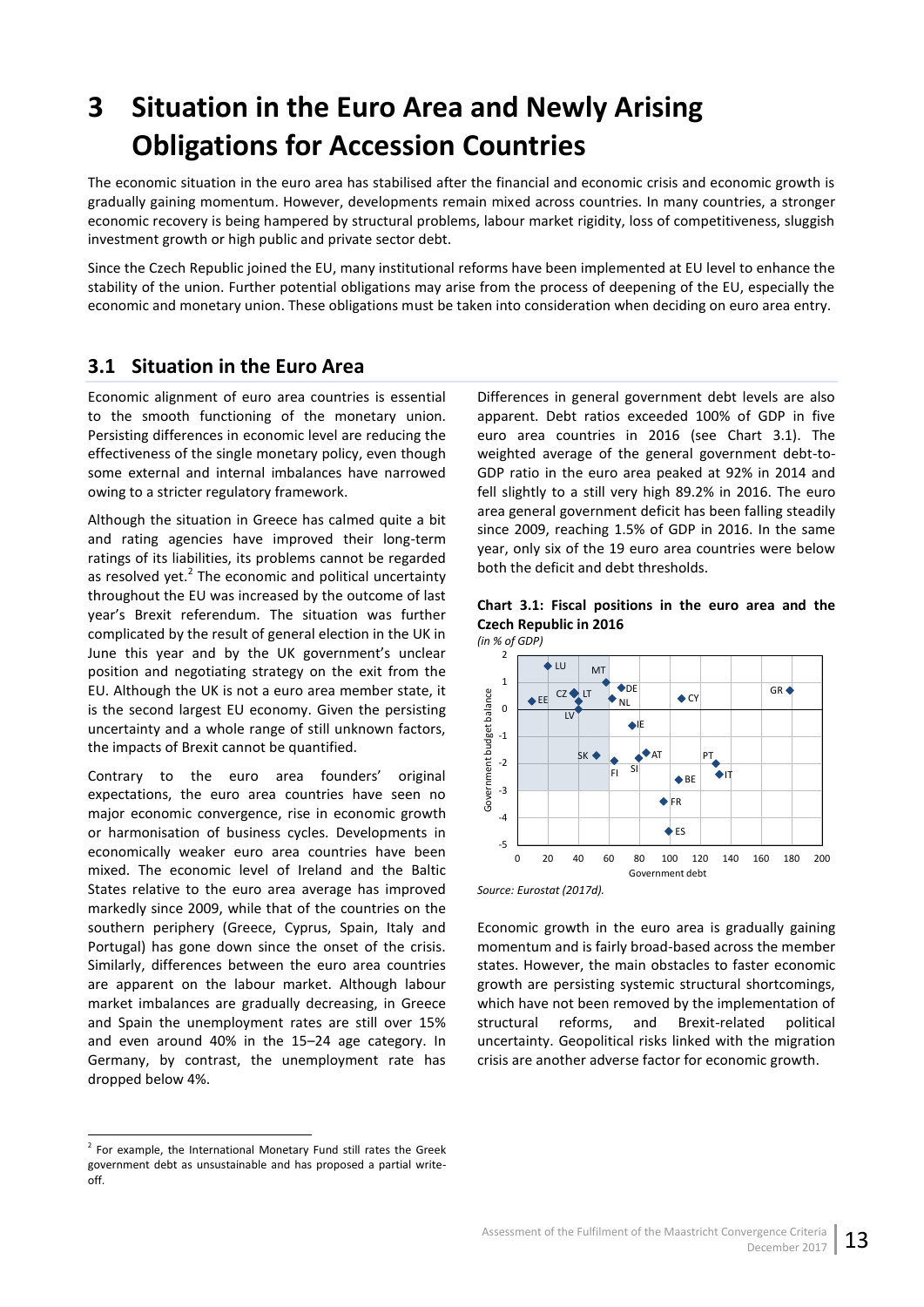# <span id="page-18-0"></span>**3 Situation in the Euro Area and Newly Arising Obligations for Accession Countries**

The economic situation in the euro area has stabilised after the financial and economic crisis and economic growth is gradually gaining momentum. However, developments remain mixed across countries. In many countries, a stronger economic recovery is being hampered by structural problems, labour market rigidity, loss of competitiveness, sluggish investment growth or high public and private sector debt.

Since the Czech Republic joined the EU, many institutional reforms have been implemented at EU level to enhance the stability of the union. Further potential obligations may arise from the process of deepening of the EU, especially the economic and monetary union. These obligations must be taken into consideration when deciding on euro area entry.

## <span id="page-18-1"></span>**3.1 Situation in the Euro Area**

Economic alignment of euro area countries is essential to the smooth functioning of the monetary union. Persisting differences in economic level are reducing the effectiveness of the single monetary policy, even though some external and internal imbalances have narrowed owing to a stricter regulatory framework.

Although the situation in Greece has calmed quite a bit and rating agencies have improved their long-term ratings of its liabilities, its problems cannot be regarded as resolved yet.<sup>2</sup> The economic and political uncertainty throughout the EU was increased by the outcome of last year's Brexit referendum. The situation was further complicated by the result of general election in the UK in June this year and by the UK government's unclear position and negotiating strategy on the exit from the EU. Although the UK is not a euro area member state, it is the second largest EU economy. Given the persisting uncertainty and a whole range of still unknown factors, the impacts of Brexit cannot be quantified.

Contrary to the euro area founders' original expectations, the euro area countries have seen no major economic convergence, rise in economic growth or harmonisation of business cycles. Developments in economically weaker euro area countries have been mixed. The economic level of Ireland and the Baltic States relative to the euro area average has improved markedly since 2009, while that of the countries on the southern periphery (Greece, Cyprus, Spain, Italy and Portugal) has gone down since the onset of the crisis. Similarly, differences between the euro area countries are apparent on the labour market. Although labour market imbalances are gradually decreasing, in Greece and Spain the unemployment rates are still over 15% and even around 40% in the 15–24 age category. In Germany, by contrast, the unemployment rate has dropped below 4%.

 2 For example, the International Monetary Fund still rates the Greek government debt as unsustainable and has proposed a partial writeoff.

Differences in general government debt levels are also apparent. Debt ratios exceeded 100% of GDP in five euro area countries in 2016 (see Chart 3.1). The weighted average of the general government debt-to-GDP ratio in the euro area peaked at 92% in 2014 and fell slightly to a still very high 89.2% in 2016. The euro area general government deficit has been falling steadily since 2009, reaching 1.5% of GDP in 2016. In the same year, only six of the 19 euro area countries were below both the deficit and debt thresholds.

<span id="page-18-2"></span>



*Source: Eurostat (2017d).*

Economic growth in the euro area is gradually gaining momentum and is fairly broad-based across the member states. However, the main obstacles to faster economic growth are persisting systemic structural shortcomings, which have not been removed by the implementation of structural reforms, and Brexit-related political uncertainty. Geopolitical risks linked with the migration crisis are another adverse factor for economic growth.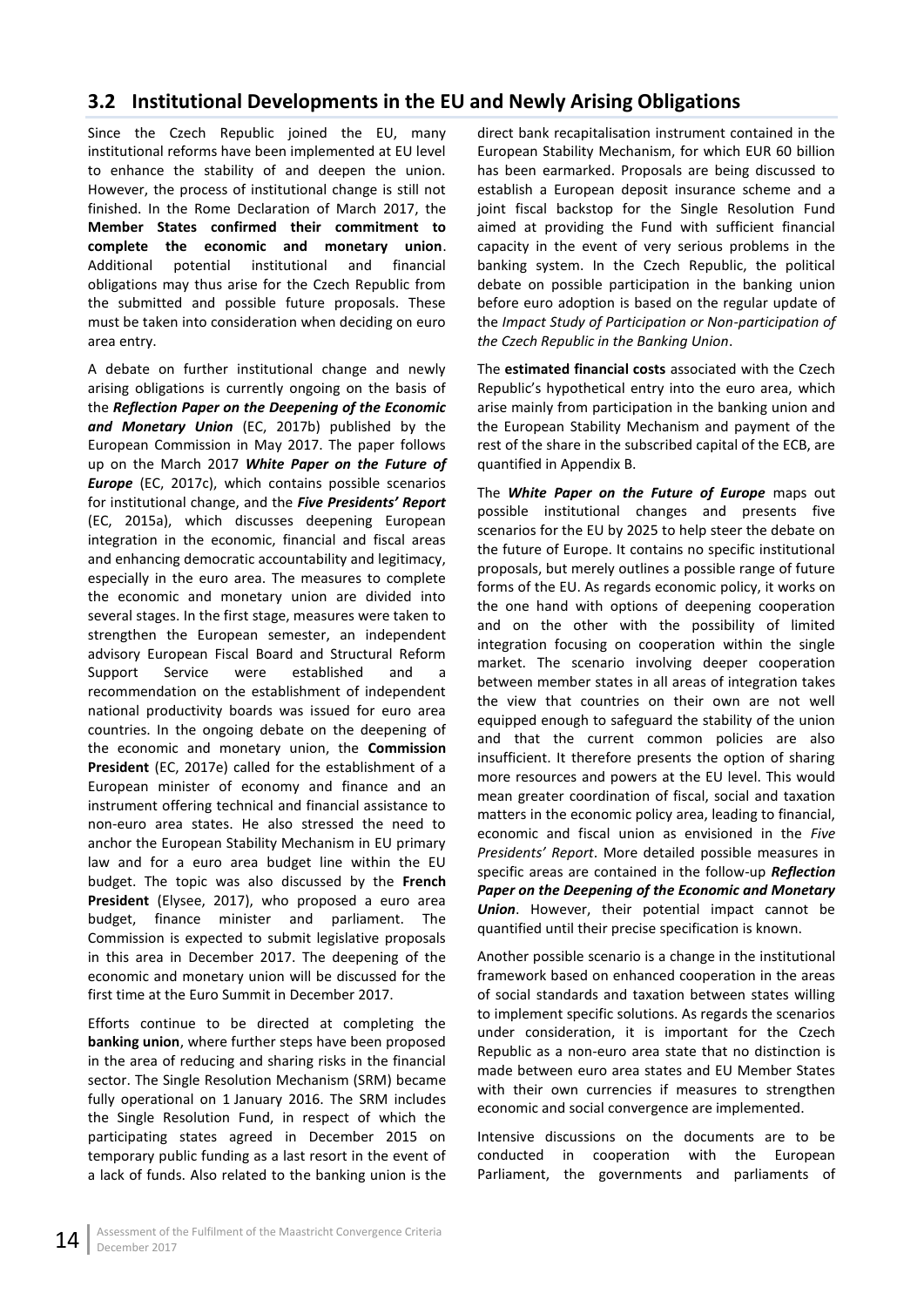## <span id="page-19-0"></span>**3.2 Institutional Developments in the EU and Newly Arising Obligations**

Since the Czech Republic joined the EU, many institutional reforms have been implemented at EU level to enhance the stability of and deepen the union. However, the process of institutional change is still not finished. In the Rome Declaration of March 2017, the **Member States confirmed their commitment to complete the economic and monetary union**. Additional potential institutional and financial obligations may thus arise for the Czech Republic from the submitted and possible future proposals. These must be taken into consideration when deciding on euro area entry.

A debate on further institutional change and newly arising obligations is currently ongoing on the basis of the *Reflection Paper on the Deepening of the Economic and Monetary Union* (EC, 2017b) published by the European Commission in May 2017. The paper follows up on the March 2017 *White Paper on the Future of Europe* (EC, 2017c), which contains possible scenarios for institutional change, and the *Five Presidents' Report* (EC, 2015a), which discusses deepening European integration in the economic, financial and fiscal areas and enhancing democratic accountability and legitimacy, especially in the euro area. The measures to complete the economic and monetary union are divided into several stages. In the first stage, measures were taken to strengthen the European semester, an independent advisory European Fiscal Board and Structural Reform Support Service were established and a recommendation on the establishment of independent national productivity boards was issued for euro area countries. In the ongoing debate on the deepening of the economic and monetary union, the **Commission President** (EC, 2017e) called for the establishment of a European minister of economy and finance and an instrument offering technical and financial assistance to non-euro area states. He also stressed the need to anchor the European Stability Mechanism in EU primary law and for a euro area budget line within the EU budget. The topic was also discussed by the **French President** (Elysee, 2017), who proposed a euro area budget, finance minister and parliament. The Commission is expected to submit legislative proposals in this area in December 2017. The deepening of the economic and monetary union will be discussed for the first time at the Euro Summit in December 2017.

Efforts continue to be directed at completing the **banking union**, where further steps have been proposed in the area of reducing and sharing risks in the financial sector. The Single Resolution Mechanism (SRM) became fully operational on 1 January 2016. The SRM includes the Single Resolution Fund, in respect of which the participating states agreed in December 2015 on temporary public funding as a last resort in the event of a lack of funds. Also related to the banking union is the

direct bank recapitalisation instrument contained in the European Stability Mechanism, for which EUR 60 billion has been earmarked. Proposals are being discussed to establish a European deposit insurance scheme and a joint fiscal backstop for the Single Resolution Fund aimed at providing the Fund with sufficient financial capacity in the event of very serious problems in the banking system. In the Czech Republic, the political debate on possible participation in the banking union before euro adoption is based on the regular update of the *Impact Study of Participation or Non-participation of the Czech Republic in the Banking Union*.

The **estimated financial costs** associated with the Czech Republic's hypothetical entry into the euro area, which arise mainly from participation in the banking union and the European Stability Mechanism and payment of the rest of the share in the subscribed capital of the ECB, are quantified in Appendix B.

The *White Paper on the Future of Europe* maps out possible institutional changes and presents five scenarios for the EU by 2025 to help steer the debate on the future of Europe. It contains no specific institutional proposals, but merely outlines a possible range of future forms of the EU. As regards economic policy, it works on the one hand with options of deepening cooperation and on the other with the possibility of limited integration focusing on cooperation within the single market. The scenario involving deeper cooperation between member states in all areas of integration takes the view that countries on their own are not well equipped enough to safeguard the stability of the union and that the current common policies are also insufficient. It therefore presents the option of sharing more resources and powers at the EU level. This would mean greater coordination of fiscal, social and taxation matters in the economic policy area, leading to financial, economic and fiscal union as envisioned in the *Five Presidents' Report*. More detailed possible measures in specific areas are contained in the follow-up *Reflection Paper on the Deepening of the Economic and Monetary Union*. However, their potential impact cannot be quantified until their precise specification is known.

Another possible scenario is a change in the institutional framework based on enhanced cooperation in the areas of social standards and taxation between states willing to implement specific solutions. As regards the scenarios under consideration, it is important for the Czech Republic as a non-euro area state that no distinction is made between euro area states and EU Member States with their own currencies if measures to strengthen economic and social convergence are implemented.

Intensive discussions on the documents are to be conducted in cooperation with the European Parliament, the governments and parliaments of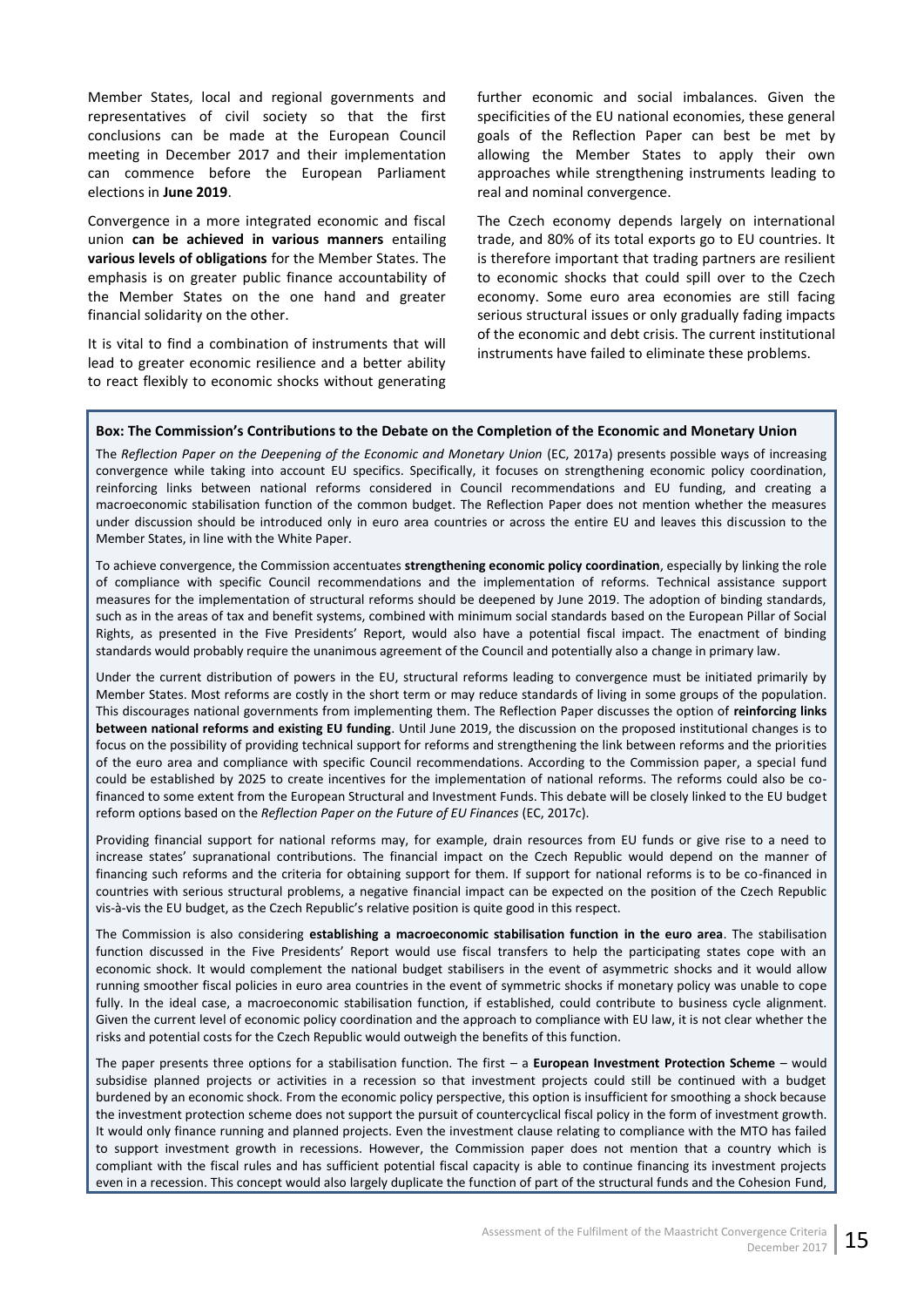Member States, local and regional governments and representatives of civil society so that the first conclusions can be made at the European Council meeting in December 2017 and their implementation can commence before the European Parliament elections in **June 2019**.

Convergence in a more integrated economic and fiscal union **can be achieved in various manners** entailing **various levels of obligations** for the Member States. The emphasis is on greater public finance accountability of the Member States on the one hand and greater financial solidarity on the other.

It is vital to find a combination of instruments that will lead to greater economic resilience and a better ability to react flexibly to economic shocks without generating

further economic and social imbalances. Given the specificities of the EU national economies, these general goals of the Reflection Paper can best be met by allowing the Member States to apply their own approaches while strengthening instruments leading to real and nominal convergence.

The Czech economy depends largely on international trade, and 80% of its total exports go to EU countries. It is therefore important that trading partners are resilient to economic shocks that could spill over to the Czech economy. Some euro area economies are still facing serious structural issues or only gradually fading impacts of the economic and debt crisis. The current institutional instruments have failed to eliminate these problems.

#### **Box: The Commission's Contributions to the Debate on the Completion of the Economic and Monetary Union**

The *Reflection Paper on the Deepening of the Economic and Monetary Union* (EC, 2017a) presents possible ways of increasing convergence while taking into account EU specifics. Specifically, it focuses on strengthening economic policy coordination, reinforcing links between national reforms considered in Council recommendations and EU funding, and creating a macroeconomic stabilisation function of the common budget. The Reflection Paper does not mention whether the measures under discussion should be introduced only in euro area countries or across the entire EU and leaves this discussion to the Member States, in line with the White Paper.

To achieve convergence, the Commission accentuates **strengthening economic policy coordination**, especially by linking the role of compliance with specific Council recommendations and the implementation of reforms. Technical assistance support measures for the implementation of structural reforms should be deepened by June 2019. The adoption of binding standards, such as in the areas of tax and benefit systems, combined with minimum social standards based on the European Pillar of Social Rights, as presented in the Five Presidents' Report, would also have a potential fiscal impact. The enactment of binding standards would probably require the unanimous agreement of the Council and potentially also a change in primary law.

Under the current distribution of powers in the EU, structural reforms leading to convergence must be initiated primarily by Member States. Most reforms are costly in the short term or may reduce standards of living in some groups of the population. This discourages national governments from implementing them. The Reflection Paper discusses the option of **reinforcing links between national reforms and existing EU funding**. Until June 2019, the discussion on the proposed institutional changes is to focus on the possibility of providing technical support for reforms and strengthening the link between reforms and the priorities of the euro area and compliance with specific Council recommendations. According to the Commission paper, a special fund could be established by 2025 to create incentives for the implementation of national reforms. The reforms could also be cofinanced to some extent from the European Structural and Investment Funds. This debate will be closely linked to the EU budget reform options based on the *Reflection Paper on the Future of EU Finances* (EC, 2017c).

Providing financial support for national reforms may, for example, drain resources from EU funds or give rise to a need to increase states' supranational contributions. The financial impact on the Czech Republic would depend on the manner of financing such reforms and the criteria for obtaining support for them. If support for national reforms is to be co-financed in countries with serious structural problems, a negative financial impact can be expected on the position of the Czech Republic vis-à-vis the EU budget, as the Czech Republic's relative position is quite good in this respect.

The Commission is also considering **establishing a macroeconomic stabilisation function in the euro area**. The stabilisation function discussed in the Five Presidents' Report would use fiscal transfers to help the participating states cope with an economic shock. It would complement the national budget stabilisers in the event of asymmetric shocks and it would allow running smoother fiscal policies in euro area countries in the event of symmetric shocks if monetary policy was unable to cope fully. In the ideal case, a macroeconomic stabilisation function, if established, could contribute to business cycle alignment. Given the current level of economic policy coordination and the approach to compliance with EU law, it is not clear whether the risks and potential costs for the Czech Republic would outweigh the benefits of this function.

The paper presents three options for a stabilisation function. The first – a **European Investment Protection Scheme** – would subsidise planned projects or activities in a recession so that investment projects could still be continued with a budget burdened by an economic shock. From the economic policy perspective, this option is insufficient for smoothing a shock because the investment protection scheme does not support the pursuit of countercyclical fiscal policy in the form of investment growth. It would only finance running and planned projects. Even the investment clause relating to compliance with the MTO has failed to support investment growth in recessions. However, the Commission paper does not mention that a country which is compliant with the fiscal rules and has sufficient potential fiscal capacity is able to continue financing its investment projects even in a recession. This concept would also largely duplicate the function of part of the structural funds and the Cohesion Fund,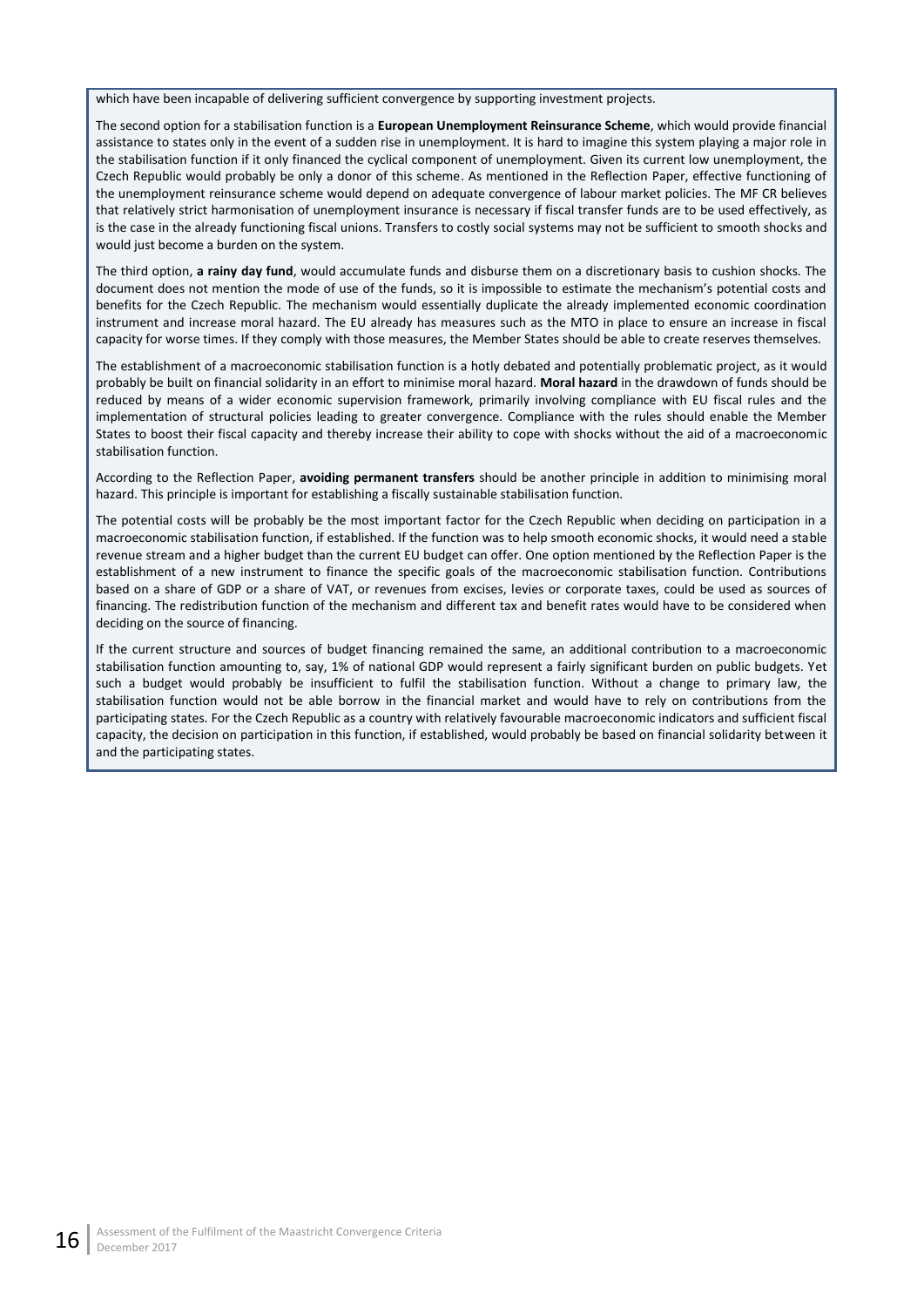which have been incapable of delivering sufficient convergence by supporting investment projects.

The second option for a stabilisation function is a **European Unemployment Reinsurance Scheme**, which would provide financial assistance to states only in the event of a sudden rise in unemployment. It is hard to imagine this system playing a major role in the stabilisation function if it only financed the cyclical component of unemployment. Given its current low unemployment, the Czech Republic would probably be only a donor of this scheme. As mentioned in the Reflection Paper, effective functioning of the unemployment reinsurance scheme would depend on adequate convergence of labour market policies. The MF CR believes that relatively strict harmonisation of unemployment insurance is necessary if fiscal transfer funds are to be used effectively, as is the case in the already functioning fiscal unions. Transfers to costly social systems may not be sufficient to smooth shocks and would just become a burden on the system.

The third option, **a rainy day fund**, would accumulate funds and disburse them on a discretionary basis to cushion shocks. The document does not mention the mode of use of the funds, so it is impossible to estimate the mechanism's potential costs and benefits for the Czech Republic. The mechanism would essentially duplicate the already implemented economic coordination instrument and increase moral hazard. The EU already has measures such as the MTO in place to ensure an increase in fiscal capacity for worse times. If they comply with those measures, the Member States should be able to create reserves themselves.

The establishment of a macroeconomic stabilisation function is a hotly debated and potentially problematic project, as it would probably be built on financial solidarity in an effort to minimise moral hazard. **Moral hazard** in the drawdown of funds should be reduced by means of a wider economic supervision framework, primarily involving compliance with EU fiscal rules and the implementation of structural policies leading to greater convergence. Compliance with the rules should enable the Member States to boost their fiscal capacity and thereby increase their ability to cope with shocks without the aid of a macroeconomic stabilisation function.

According to the Reflection Paper, **avoiding permanent transfers** should be another principle in addition to minimising moral hazard. This principle is important for establishing a fiscally sustainable stabilisation function.

The potential costs will be probably be the most important factor for the Czech Republic when deciding on participation in a macroeconomic stabilisation function, if established. If the function was to help smooth economic shocks, it would need a stable revenue stream and a higher budget than the current EU budget can offer. One option mentioned by the Reflection Paper is the establishment of a new instrument to finance the specific goals of the macroeconomic stabilisation function. Contributions based on a share of GDP or a share of VAT, or revenues from excises, levies or corporate taxes, could be used as sources of financing. The redistribution function of the mechanism and different tax and benefit rates would have to be considered when deciding on the source of financing.

If the current structure and sources of budget financing remained the same, an additional contribution to a macroeconomic stabilisation function amounting to, say, 1% of national GDP would represent a fairly significant burden on public budgets. Yet such a budget would probably be insufficient to fulfil the stabilisation function. Without a change to primary law, the stabilisation function would not be able borrow in the financial market and would have to rely on contributions from the participating states. For the Czech Republic as a country with relatively favourable macroeconomic indicators and sufficient fiscal capacity, the decision on participation in this function, if established, would probably be based on financial solidarity between it and the participating states.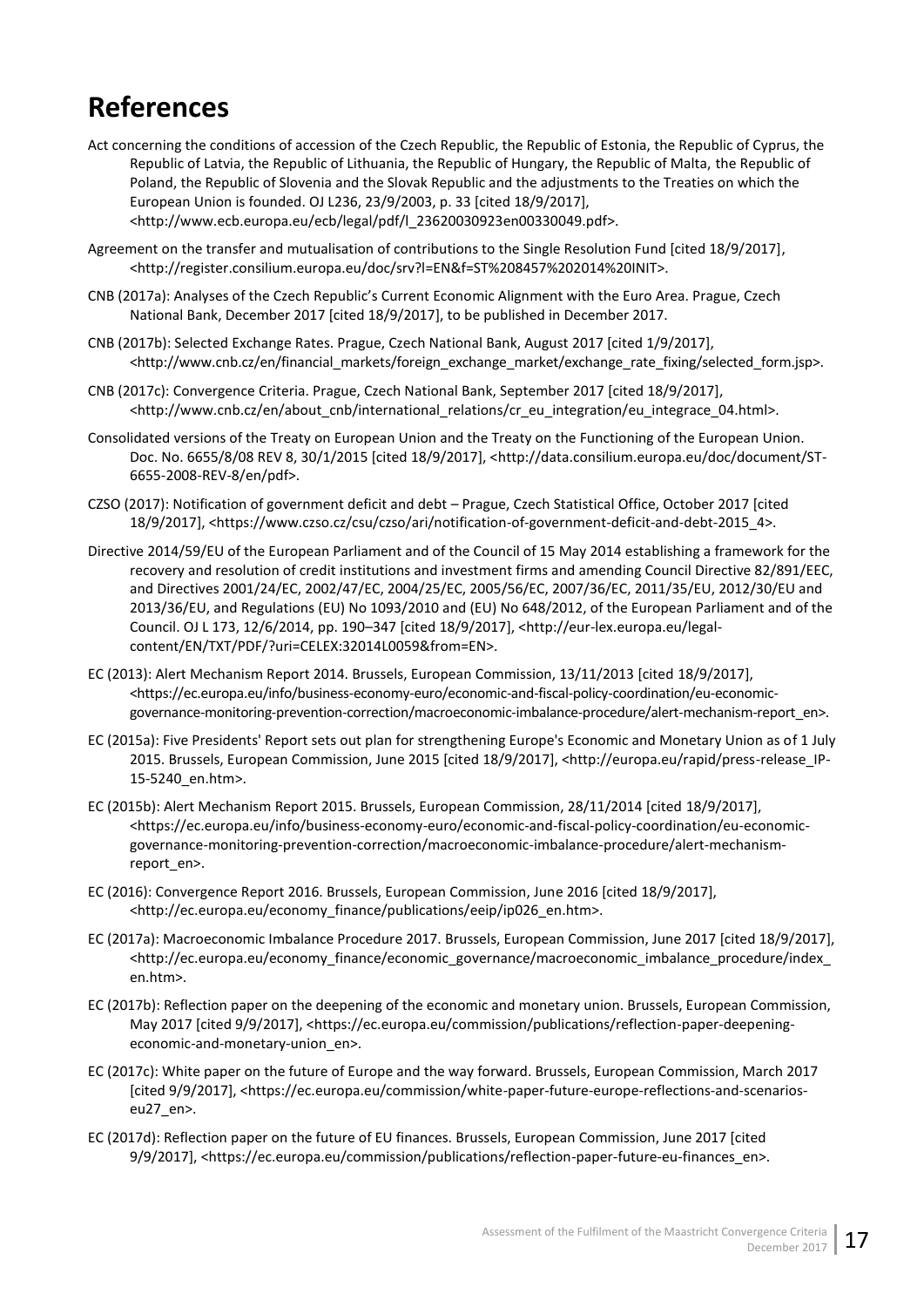# <span id="page-22-0"></span>**References**

- Act concerning the conditions of accession of the Czech Republic, the Republic of Estonia, the Republic of Cyprus, the Republic of Latvia, the Republic of Lithuania, the Republic of Hungary, the Republic of Malta, the Republic of Poland, the Republic of Slovenia and the Slovak Republic and the adjustments to the Treaties on which the European Union is founded. OJ L236, 23/9/2003, p. 33 [cited 18/9/2017], <http://www.ecb.europa.eu/ecb/legal/pdf/l\_23620030923en00330049.pdf>.
- Agreement on the transfer and mutualisation of contributions to the Single Resolution Fund [cited 18/9/2017], <http://register.consilium.europa.eu/doc/srv?l=EN&f=ST%208457%202014%20INIT>.
- CNB (2017a): Analyses of the Czech Republic's Current Economic Alignment with the Euro Area. Prague, Czech National Bank, December 2017 [cited 18/9/2017], to be published in December 2017.
- CNB (2017b): Selected Exchange Rates. Prague, Czech National Bank, August 2017 [cited 1/9/2017], <http://www.cnb.cz/en/financial\_markets/foreign\_exchange\_market/exchange\_rate\_fixing/selected\_form.jsp>.
- CNB (2017c): Convergence Criteria. Prague, Czech National Bank, September 2017 [cited 18/9/2017], <http://www.cnb.cz/en/about\_cnb/international\_relations/cr\_eu\_integration/eu\_integrace\_04.html>.
- Consolidated versions of the Treaty on European Union and the Treaty on the Functioning of the European Union. Doc. No. 6655/8/08 REV 8, 30/1/2015 [cited 18/9/2017], <http://data.consilium.europa.eu/doc/document/ST-6655-2008-REV-8/en/pdf>.
- CZSO (2017): Notification of government deficit and debt Prague, Czech Statistical Office, October 2017 [cited 18/9/2017], <https://www.czso.cz/csu/czso/ari/notification-of-government-deficit-and-debt-2015\_4>.
- Directive 2014/59/EU of the European Parliament and of the Council of 15 May 2014 establishing a framework for the recovery and resolution of credit institutions and investment firms and amending Council Directive 82/891/EEC, and Directives 2001/24/EC, 2002/47/EC, 2004/25/EC, 2005/56/EC, 2007/36/EC, 2011/35/EU, 2012/30/EU and 2013/36/EU, and Regulations (EU) No 1093/2010 and (EU) No 648/2012, of the European Parliament and of the Council. OJ L 173, 12/6/2014, pp. 190–347 [cited 18/9/2017], <http://eur-lex.europa.eu/legalcontent/EN/TXT/PDF/?uri=CELEX:32014L0059&from=EN>.
- EC (2013): Alert Mechanism Report 2014. Brussels, European Commission, 13/11/2013 [cited 18/9/2017], <https://ec.europa.eu/info/business-economy-euro/economic-and-fiscal-policy-coordination/eu-economicgovernance-monitoring-prevention-correction/macroeconomic-imbalance-procedure/alert-mechanism-report\_en>.
- EC (2015a): Five Presidents' Report sets out plan for strengthening Europe's Economic and Monetary Union as of 1 July 2015. Brussels, European Commission, June 2015 [cited 18/9/2017], <http://europa.eu/rapid/press-release\_IP-15-5240\_en.htm>.
- EC (2015b): Alert Mechanism Report 2015. Brussels, European Commission, 28/11/2014 [cited 18/9/2017], <https://ec.europa.eu/info/business-economy-euro/economic-and-fiscal-policy-coordination/eu-economicgovernance-monitoring-prevention-correction/macroeconomic-imbalance-procedure/alert-mechanismreport\_en>.
- EC (2016): Convergence Report 2016. Brussels, European Commission, June 2016 [cited 18/9/2017], <http://ec.europa.eu/economy\_finance/publications/eeip/ip026\_en.htm>.
- EC (2017a): Macroeconomic Imbalance Procedure 2017. Brussels, European Commission, June 2017 [cited 18/9/2017], <http://ec.europa.eu/economy\_finance/economic\_governance/macroeconomic\_imbalance\_procedure/index\_ en.htm>.
- EC (2017b): Reflection paper on the deepening of the economic and monetary union. Brussels, European Commission, May 2017 [cited 9/9/2017], <https://ec.europa.eu/commission/publications/reflection-paper-deepeningeconomic-and-monetary-union\_en>.
- EC (2017c): White paper on the future of Europe and the way forward. Brussels, European Commission, March 2017 [cited 9/9/2017], <https://ec.europa.eu/commission/white-paper-future-europe-reflections-and-scenarioseu27\_en>.
- EC (2017d): Reflection paper on the future of EU finances. Brussels, European Commission, June 2017 [cited 9/9/2017], <https://ec.europa.eu/commission/publications/reflection-paper-future-eu-finances\_en>.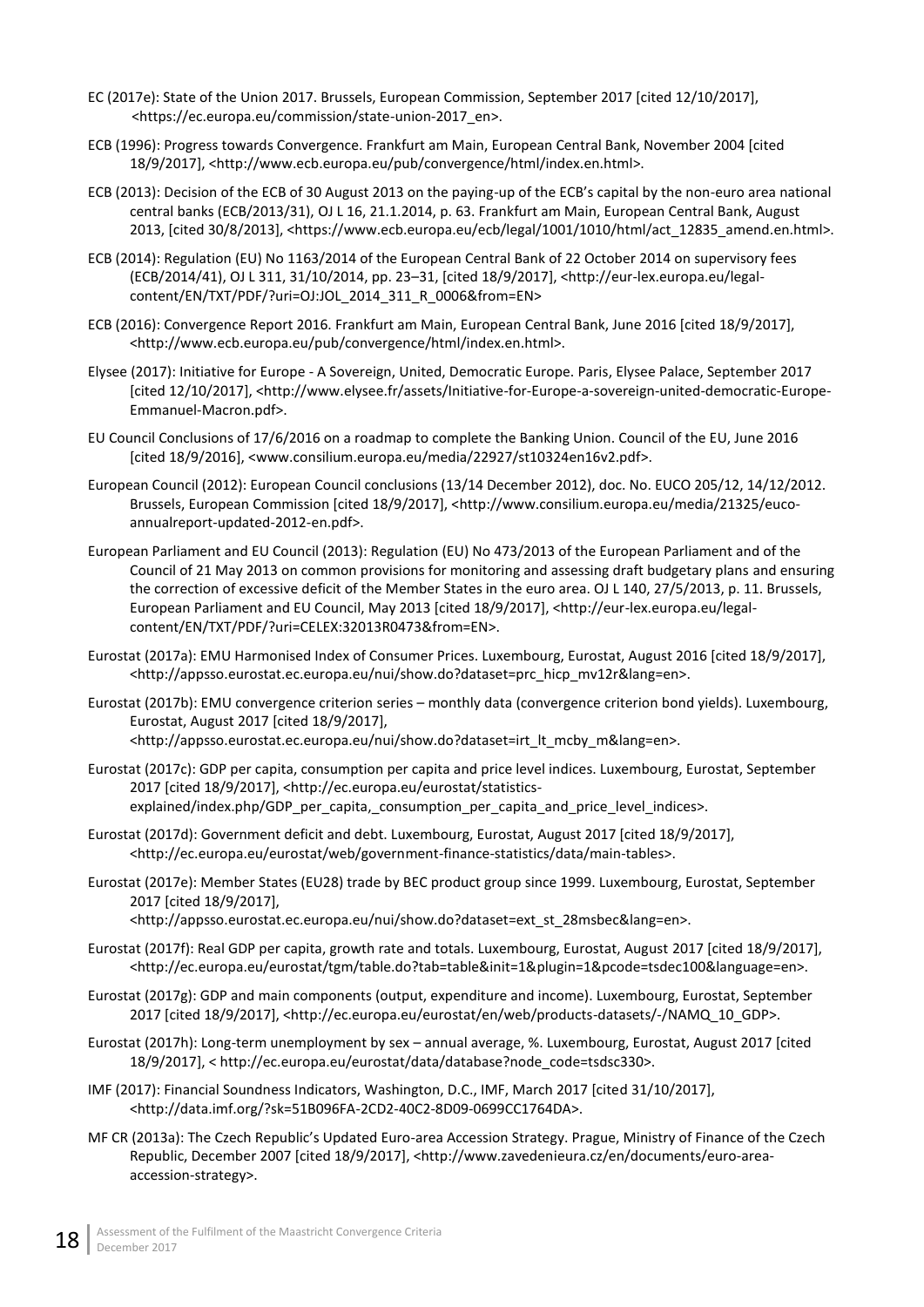- EC (2017e): State of the Union 2017. Brussels, European Commission, September 2017 [cited 12/10/2017], [<https://ec.europa.eu/commission/state-union-2017\\_en>](https://ec.europa.eu/commission/state-union-2017_en).
- ECB (1996): Progress towards Convergence. Frankfurt am Main, European Central Bank, November 2004 [cited 18/9/2017], <http://www.ecb.europa.eu/pub/convergence/html/index.en.html>.
- ECB (2013): Decision of the ECB of 30 August 2013 on the paying-up of the ECB's capital by the non-euro area national central banks (ECB/2013/31), OJ L 16, 21.1.2014, p. 63. Frankfurt am Main, European Central Bank, August 2013, [cited 30/8/2013], <https://www.ecb.europa.eu/ecb/legal/1001/1010/html/act\_12835\_amend.en.html>.
- ECB (2014): Regulation (EU) No 1163/2014 of the European Central Bank of 22 October 2014 on supervisory fees (ECB/2014/41), OJ L 311, 31/10/2014, pp. 23–31, [cited 18/9/2017], <http://eur-lex.europa.eu/legalcontent/EN/TXT/PDF/?uri=OJ:JOL\_2014\_311\_R\_0006&from=EN>
- ECB (2016): Convergence Report 2016. Frankfurt am Main, European Central Bank, June 2016 [cited 18/9/2017], <http://www.ecb.europa.eu/pub/convergence/html/index.en.html>.
- Elysee (2017): Initiative for Europe A Sovereign, United, Democratic Europe. Paris, Elysee Palace, September 2017 [cited 12/10/2017], <http://www.elysee.fr/assets/Initiative-for-Europe-a-sovereign-united-democratic-Europe-Emmanuel-Macron.pdf>.
- EU Council Conclusions of 17/6/2016 on a roadmap to complete the Banking Union. Council of the EU, June 2016 [cited 18/9/2016], <www.consilium.europa.eu/media/22927/st10324en16v2.pdf>.
- European Council (2012): European Council conclusions (13/14 December 2012), doc. No. EUCO 205/12, 14/12/2012. Brussels, European Commission [cited 18/9/2017], <http://www.consilium.europa.eu/media/21325/eucoannualreport-updated-2012-en.pdf>.
- European Parliament and EU Council (2013): Regulation (EU) No 473/2013 of the European Parliament and of the Council of 21 May 2013 on common provisions for monitoring and assessing draft budgetary plans and ensuring the correction of excessive deficit of the Member States in the euro area. OJ L 140, 27/5/2013, p. 11. Brussels, European Parliament and EU Council, May 2013 [cited 18/9/2017], <http://eur-lex.europa.eu/legalcontent/EN/TXT/PDF/?uri=CELEX:32013R0473&from=EN>.
- Eurostat (2017a): EMU Harmonised Index of Consumer Prices. Luxembourg, Eurostat, August 2016 [cited 18/9/2017], <http://appsso.eurostat.ec.europa.eu/nui/show.do?dataset=prc\_hicp\_mv12r&lang=en>.
- Eurostat (2017b): EMU convergence criterion series monthly data (convergence criterion bond yields). Luxembourg, Eurostat, August 2017 [cited 18/9/2017], <http://appsso.eurostat.ec.europa.eu/nui/show.do?dataset=irt\_lt\_mcby\_m&lang=en>.
- Eurostat (2017c): GDP per capita, consumption per capita and price level indices. Luxembourg, Eurostat, September 2017 [cited 18/9/2017], <http://ec.europa.eu/eurostat/statisticsexplained/index.php/GDP\_per\_capita, consumption\_per\_capita\_and\_price\_level\_indices>.
- Eurostat (2017d): Government deficit and debt. Luxembourg, Eurostat, August 2017 [cited 18/9/2017], [<http://ec.europa.eu/eurostat/web/government-finance-statistics/data/main-tables>](http://ec.europa.eu/eurostat/web/government-finance-statistics/data/main-tables).
- Eurostat (2017e): Member States (EU28) trade by BEC product group since 1999. Luxembourg, Eurostat, September 2017 [cited 18/9/2017],

<http://appsso.eurostat.ec.europa.eu/nui/show.do?dataset=ext\_st\_28msbec&lang=en>.

- Eurostat (2017f): Real GDP per capita, growth rate and totals. Luxembourg, Eurostat, August 2017 [cited 18/9/2017], <http://ec.europa.eu/eurostat/tgm/table.do?tab=table&init=1&plugin=1&pcode=tsdec100&language=en>.
- Eurostat (2017g): GDP and main components (output, expenditure and income). Luxembourg, Eurostat, September 2017 [cited 18/9/2017], <http://ec.europa.eu/eurostat/en/web/products-datasets/-/NAMQ\_10\_GDP>.
- Eurostat (2017h): Long-term unemployment by sex annual average, %. Luxembourg, Eurostat, August 2017 [cited 18/9/2017], < http://ec.europa.eu/eurostat/data/database?node\_code=tsdsc330>.
- IMF (2017): Financial Soundness Indicators, Washington, D.C., IMF, March 2017 [cited 31/10/2017], <http://data.imf.org/?sk=51B096FA-2CD2-40C2-8D09-0699CC1764DA>.
- MF CR (2013a): The Czech Republic's Updated Euro-area Accession Strategy. Prague, Ministry of Finance of the Czech Republic, December 2007 [cited 18/9/2017], <http://www.zavedenieura.cz/en/documents/euro-areaaccession-strategy>.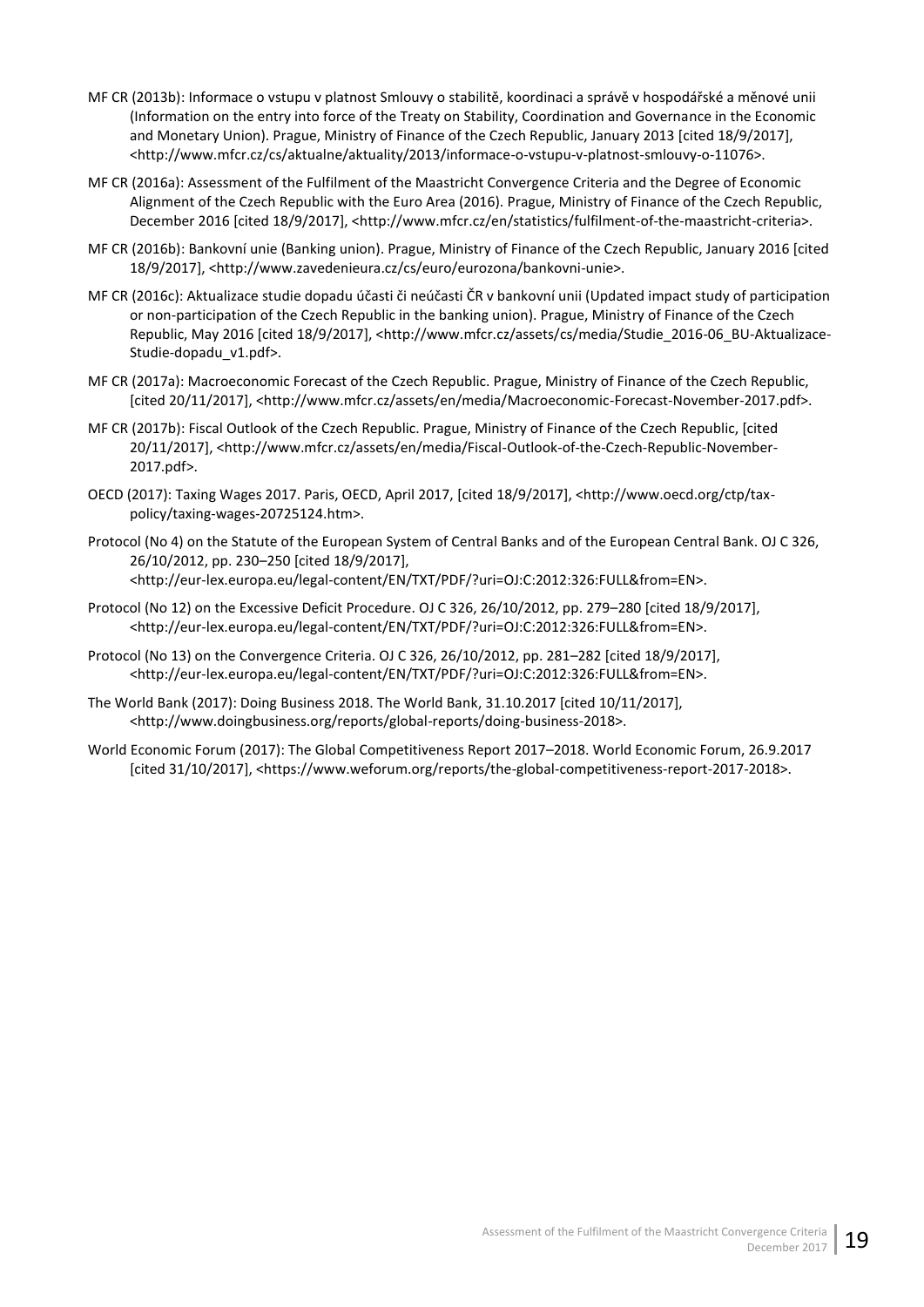- MF CR (2013b): Informace o vstupu v platnost Smlouvy o stabilitě, koordinaci a správě v hospodářské a měnové unii (Information on the entry into force of the Treaty on Stability, Coordination and Governance in the Economic and Monetary Union). Prague, Ministry of Finance of the Czech Republic, January 2013 [cited 18/9/2017], <http://www.mfcr.cz/cs/aktualne/aktuality/2013/informace-o-vstupu-v-platnost-smlouvy-o-11076>.
- MF CR (2016a): Assessment of the Fulfilment of the Maastricht Convergence Criteria and the Degree of Economic Alignment of the Czech Republic with the Euro Area (2016). Prague, Ministry of Finance of the Czech Republic, December 2016 [cited 18/9/2017], [<http://www.mfcr.cz/en/statistics/fulfilment-of-the-maastricht-criteria>](http://www.mfcr.cz/en/statistics/fulfilment-of-the-maastricht-criteria).
- MF CR (2016b): Bankovní unie (Banking union). Prague, Ministry of Finance of the Czech Republic, January 2016 [cited 18/9/2017], <http://www.zavedenieura.cz/cs/euro/eurozona/bankovni-unie>.
- MF CR (2016c): Aktualizace studie dopadu účasti či neúčasti ČR v bankovní unii (Updated impact study of participation or non-participation of the Czech Republic in the banking union). Prague, Ministry of Finance of the Czech Republic, May 2016 [cited 18/9/2017], <http://www.mfcr.cz/assets/cs/media/Studie\_2016-06\_BU-Aktualizace-Studie-dopadu\_v1.pdf>.
- MF CR (2017a): Macroeconomic Forecast of the Czech Republic. Prague, Ministry of Finance of the Czech Republic, [cited 20/11/2017], <http://www.mfcr.cz/assets/en/media/Macroeconomic-Forecast-November-2017.pdf>.
- MF CR (2017b): Fiscal Outlook of the Czech Republic. Prague, Ministry of Finance of the Czech Republic, [cited 20/11/2017], <http://www.mfcr.cz/assets/en/media/Fiscal-Outlook-of-the-Czech-Republic-November-2017.pdf>.
- OECD (2017): Taxing Wages 2017. Paris, OECD, April 2017, [cited 18/9/2017], <http://www.oecd.org/ctp/taxpolicy/taxing-wages-20725124.htm>.
- [Protocol](http://eur-lex.europa.eu/legal-content/EN/TXT/PDF/?uri=OJ:C:2012:326:FULL&from=EN) (No 4) on the Statute of the European System of Central Banks and of the European Central Bank. OJ C 326, 26/10/2012, pp. 230–250 [cited 18/9/2017], <http://eur-lex.europa.eu/legal-content/EN/TXT/PDF/?uri=OJ:C:2012:326:FULL&from=EN>.
- Protocol (No 12) on the Excessive Deficit Procedure. OJ C 326, 26/10/2012, pp. 279–280 [cited 18/9/2017], <http://eur-lex.europa.eu/legal-content/EN/TXT/PDF/?uri=OJ:C:2012:326:FULL&from=EN>.
- Protocol (No 13) on the Convergence Criteria. OJ C 326, 26/10/2012, pp. 281–282 [cited 18/9/2017], <http://eur-lex.europa.eu/legal-content/EN/TXT/PDF/?uri=OJ:C:2012:326:FULL&from=EN>.
- The World Bank (2017): Doing Business 2018. The World Bank, 31.10.2017 [cited 10/11/2017], <http://www.doingbusiness.org/reports/global-reports/doing-business-2018>.
- World Economic Forum (2017): The Global Competitiveness Report 2017–2018. World Economic Forum, 26.9.2017 [cited 31/10/2017], <https://www.weforum.org/reports/the-global-competitiveness-report-2017-2018>.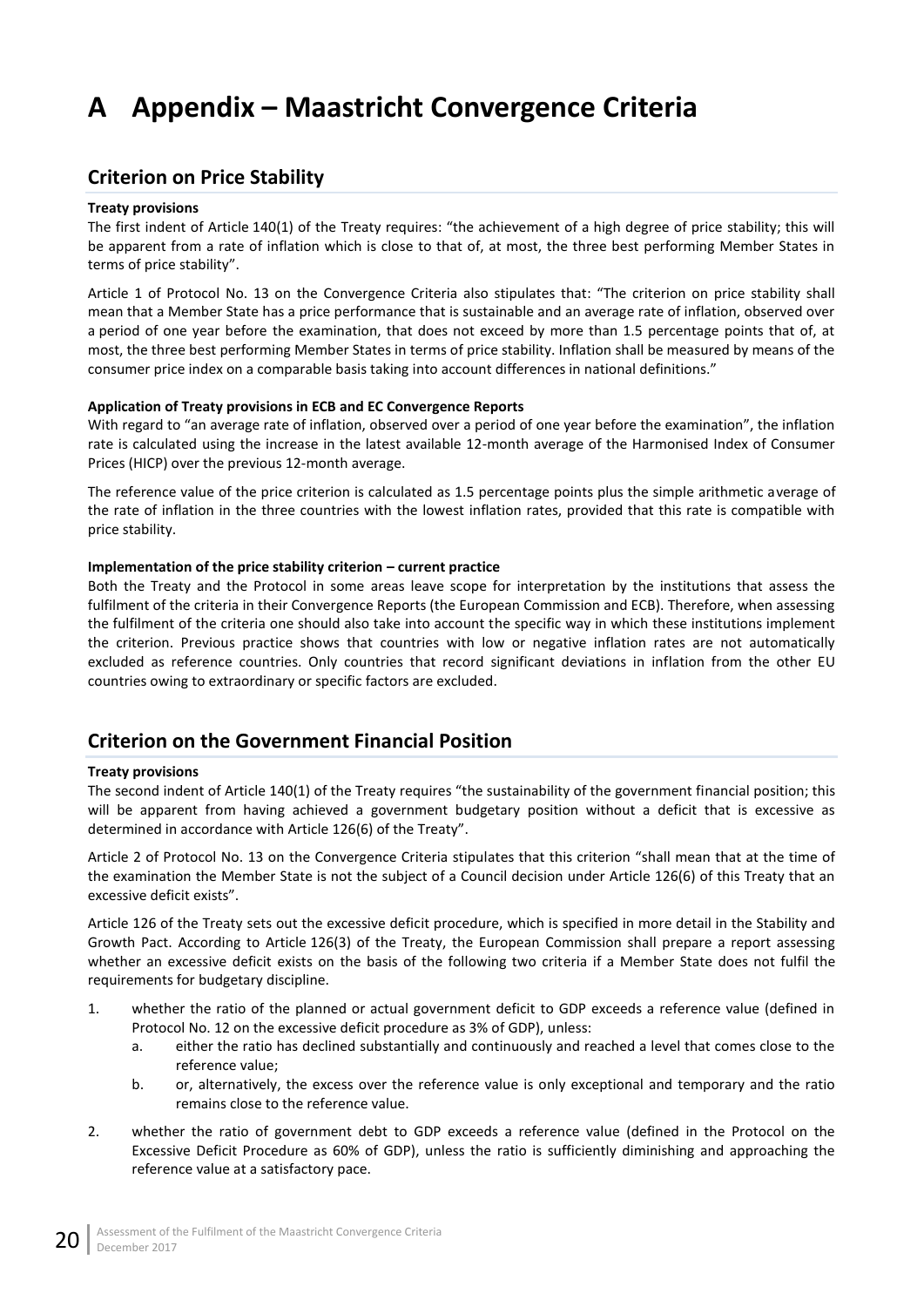# <span id="page-25-0"></span>**A Appendix – Maastricht Convergence Criteria**

## <span id="page-25-1"></span>**Criterion on Price Stability**

### **Treaty provisions**

The first indent of Article 140(1) of the Treaty requires: "the achievement of a high degree of price stability; this will be apparent from a rate of inflation which is close to that of, at most, the three best performing Member States in terms of price stability".

Article 1 of Protocol No. 13 on the Convergence Criteria also stipulates that: "The criterion on price stability shall mean that a Member State has a price performance that is sustainable and an average rate of inflation, observed over a period of one year before the examination, that does not exceed by more than 1.5 percentage points that of, at most, the three best performing Member States in terms of price stability. Inflation shall be measured by means of the consumer price index on a comparable basis taking into account differences in national definitions."

#### **Application of Treaty provisions in ECB and EC Convergence Reports**

With regard to "an average rate of inflation, observed over a period of one year before the examination", the inflation rate is calculated using the increase in the latest available 12-month average of the Harmonised Index of Consumer Prices (HICP) over the previous 12-month average.

The reference value of the price criterion is calculated as 1.5 percentage points plus the simple arithmetic average of the rate of inflation in the three countries with the lowest inflation rates, provided that this rate is compatible with price stability.

### **Implementation of the price stability criterion – current practice**

Both the Treaty and the Protocol in some areas leave scope for interpretation by the institutions that assess the fulfilment of the criteria in their Convergence Reports (the European Commission and ECB). Therefore, when assessing the fulfilment of the criteria one should also take into account the specific way in which these institutions implement the criterion. Previous practice shows that countries with low or negative inflation rates are not automatically excluded as reference countries. Only countries that record significant deviations in inflation from the other EU countries owing to extraordinary or specific factors are excluded.

## <span id="page-25-2"></span>**Criterion on the Government Financial Position**

### **Treaty provisions**

The second indent of Article 140(1) of the Treaty requires "the sustainability of the government financial position; this will be apparent from having achieved a government budgetary position without a deficit that is excessive as determined in accordance with Article 126(6) of the Treaty".

Article 2 of Protocol No. 13 on the Convergence Criteria stipulates that this criterion "shall mean that at the time of the examination the Member State is not the subject of a Council decision under Article 126(6) of this Treaty that an excessive deficit exists".

Article 126 of the Treaty sets out the excessive deficit procedure, which is specified in more detail in the Stability and Growth Pact. According to Article 126(3) of the Treaty, the European Commission shall prepare a report assessing whether an excessive deficit exists on the basis of the following two criteria if a Member State does not fulfil the requirements for budgetary discipline.

- 1. whether the ratio of the planned or actual government deficit to GDP exceeds a reference value (defined in Protocol No. 12 on the excessive deficit procedure as 3% of GDP), unless:
	- a. either the ratio has declined substantially and continuously and reached a level that comes close to the reference value;
	- b. or, alternatively, the excess over the reference value is only exceptional and temporary and the ratio remains close to the reference value.
- 2. whether the ratio of government debt to GDP exceeds a reference value (defined in the Protocol on the Excessive Deficit Procedure as 60% of GDP), unless the ratio is sufficiently diminishing and approaching the reference value at a satisfactory pace.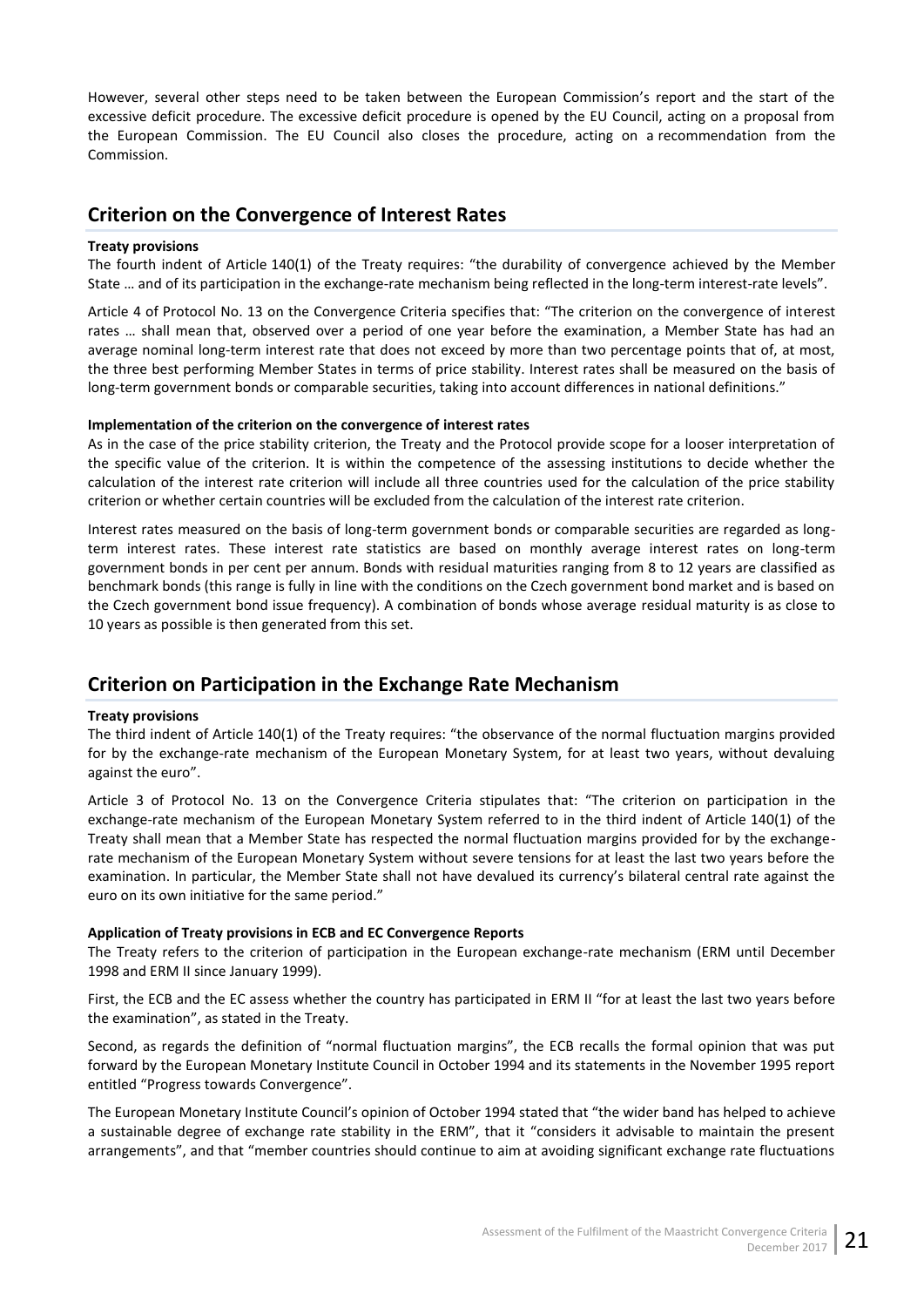However, several other steps need to be taken between the European Commission's report and the start of the excessive deficit procedure. The excessive deficit procedure is opened by the EU Council, acting on a proposal from the European Commission. The EU Council also closes the procedure, acting on a recommendation from the Commission.

## <span id="page-26-0"></span>**Criterion on the Convergence of Interest Rates**

### **Treaty provisions**

The fourth indent of Article 140(1) of the Treaty requires: "the durability of convergence achieved by the Member State … and of its participation in the exchange-rate mechanism being reflected in the long-term interest-rate levels".

Article 4 of Protocol No. 13 on the Convergence Criteria specifies that: "The criterion on the convergence of interest rates … shall mean that, observed over a period of one year before the examination, a Member State has had an average nominal long-term interest rate that does not exceed by more than two percentage points that of, at most, the three best performing Member States in terms of price stability. Interest rates shall be measured on the basis of long-term government bonds or comparable securities, taking into account differences in national definitions."

### **Implementation of the criterion on the convergence of interest rates**

As in the case of the price stability criterion, the Treaty and the Protocol provide scope for a looser interpretation of the specific value of the criterion. It is within the competence of the assessing institutions to decide whether the calculation of the interest rate criterion will include all three countries used for the calculation of the price stability criterion or whether certain countries will be excluded from the calculation of the interest rate criterion.

Interest rates measured on the basis of long-term government bonds or comparable securities are regarded as longterm interest rates. These interest rate statistics are based on monthly average interest rates on long-term government bonds in per cent per annum. Bonds with residual maturities ranging from 8 to 12 years are classified as benchmark bonds (this range is fully in line with the conditions on the Czech government bond market and is based on the Czech government bond issue frequency). A combination of bonds whose average residual maturity is as close to 10 years as possible is then generated from this set.

## <span id="page-26-1"></span>**Criterion on Participation in the Exchange Rate Mechanism**

### **Treaty provisions**

The third indent of Article 140(1) of the Treaty requires: "the observance of the normal fluctuation margins provided for by the exchange-rate mechanism of the European Monetary System, for at least two years, without devaluing against the euro".

Article 3 of Protocol No. 13 on the Convergence Criteria stipulates that: "The criterion on participation in the exchange-rate mechanism of the European Monetary System referred to in the third indent of Article 140(1) of the Treaty shall mean that a Member State has respected the normal fluctuation margins provided for by the exchangerate mechanism of the European Monetary System without severe tensions for at least the last two years before the examination. In particular, the Member State shall not have devalued its currency's bilateral central rate against the euro on its own initiative for the same period."

### **Application of Treaty provisions in ECB and EC Convergence Reports**

The Treaty refers to the criterion of participation in the European exchange-rate mechanism (ERM until December 1998 and ERM II since January 1999).

First, the ECB and the EC assess whether the country has participated in ERM II "for at least the last two years before the examination", as stated in the Treaty.

Second, as regards the definition of "normal fluctuation margins", the ECB recalls the formal opinion that was put forward by the European Monetary Institute Council in October 1994 and its statements in the November 1995 report entitled "Progress towards Convergence".

The European Monetary Institute Council's opinion of October 1994 stated that "the wider band has helped to achieve a sustainable degree of exchange rate stability in the ERM", that it "considers it advisable to maintain the present arrangements", and that "member countries should continue to aim at avoiding significant exchange rate fluctuations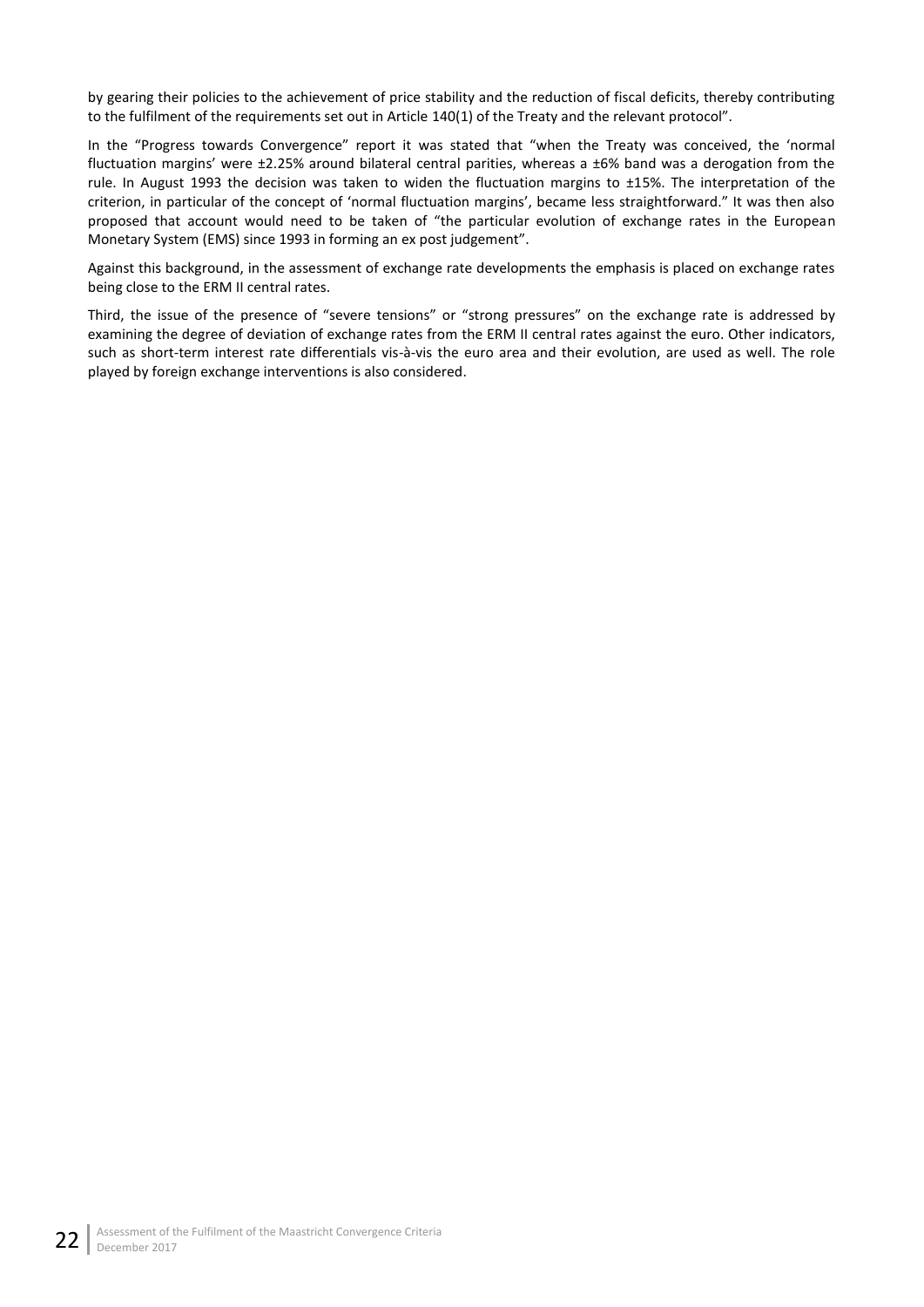by gearing their policies to the achievement of price stability and the reduction of fiscal deficits, thereby contributing to the fulfilment of the requirements set out in Article 140(1) of the Treaty and the relevant protocol".

In the "Progress towards Convergence" report it was stated that "when the Treaty was conceived, the 'normal fluctuation margins' were ±2.25% around bilateral central parities, whereas a ±6% band was a derogation from the rule. In August 1993 the decision was taken to widen the fluctuation margins to ±15%. The interpretation of the criterion, in particular of the concept of 'normal fluctuation margins', became less straightforward." It was then also proposed that account would need to be taken of "the particular evolution of exchange rates in the European Monetary System (EMS) since 1993 in forming an ex post judgement".

Against this background, in the assessment of exchange rate developments the emphasis is placed on exchange rates being close to the ERM II central rates.

Third, the issue of the presence of "severe tensions" or "strong pressures" on the exchange rate is addressed by examining the degree of deviation of exchange rates from the ERM II central rates against the euro. Other indicators, such as short-term interest rate differentials vis-à-vis the euro area and their evolution, are used as well. The role played by foreign exchange interventions is also considered.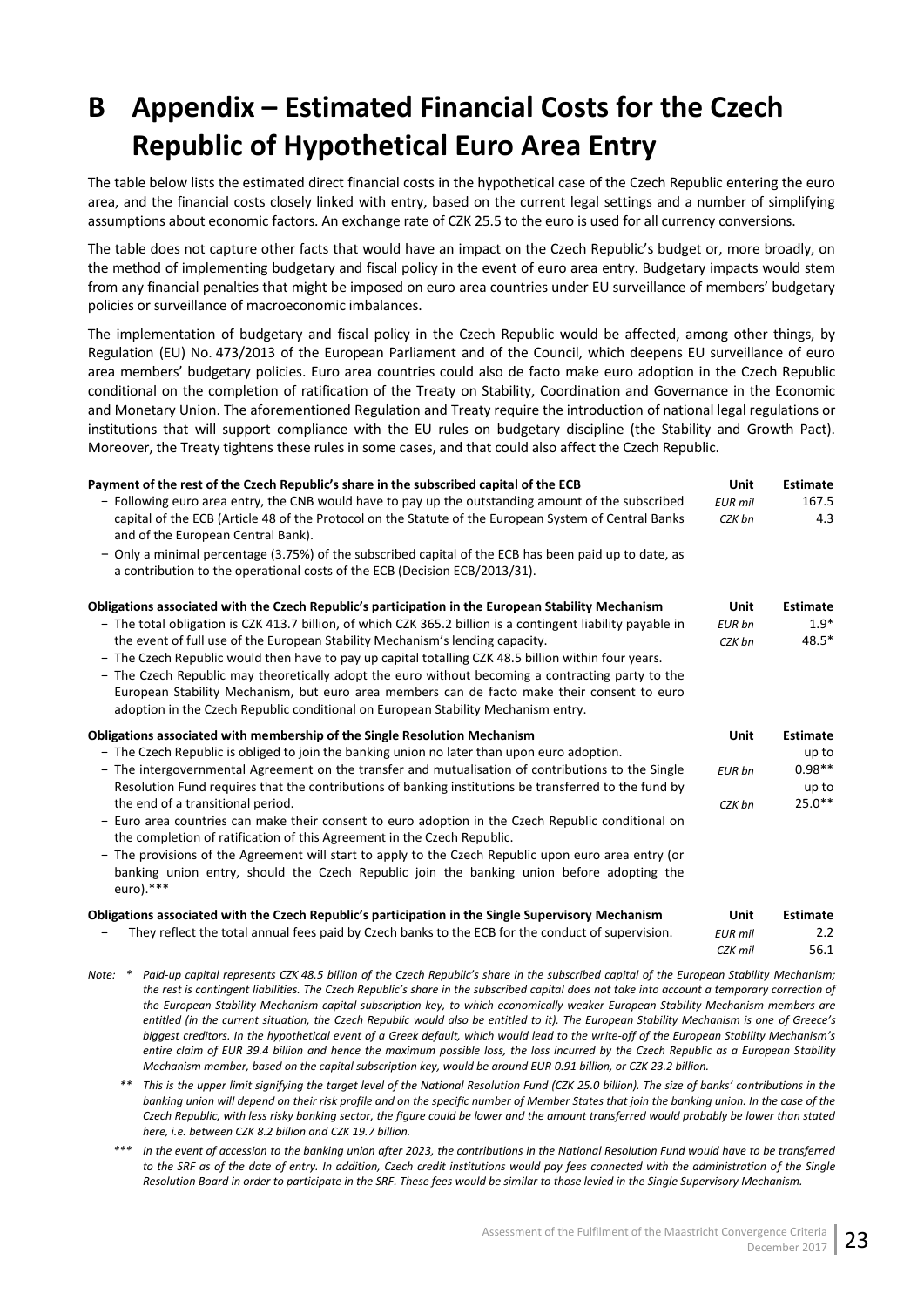# <span id="page-28-0"></span>**B Appendix – Estimated Financial Costs for the Czech Republic of Hypothetical Euro Area Entry**

The table below lists the estimated direct financial costs in the hypothetical case of the Czech Republic entering the euro area, and the financial costs closely linked with entry, based on the current legal settings and a number of simplifying assumptions about economic factors. An exchange rate of CZK 25.5 to the euro is used for all currency conversions.

The table does not capture other facts that would have an impact on the Czech Republic's budget or, more broadly, on the method of implementing budgetary and fiscal policy in the event of euro area entry. Budgetary impacts would stem from any financial penalties that might be imposed on euro area countries under EU surveillance of members' budgetary policies or surveillance of macroeconomic imbalances.

The implementation of budgetary and fiscal policy in the Czech Republic would be affected, among other things, by Regulation (EU) No. 473/2013 of the European Parliament and of the Council, which deepens EU surveillance of euro area members' budgetary policies. Euro area countries could also de facto make euro adoption in the Czech Republic conditional on the completion of ratification of the Treaty on Stability, Coordination and Governance in the Economic and Monetary Union. The aforementioned Regulation and Treaty require the introduction of national legal regulations or institutions that will support compliance with the EU rules on budgetary discipline (the Stability and Growth Pact). Moreover, the Treaty tightens these rules in some cases, and that could also affect the Czech Republic.

| Payment of the rest of the Czech Republic's share in the subscribed capital of the ECB                                                                                                                                                                                                                                                                                                        | Unit           | <b>Estimate</b>   |
|-----------------------------------------------------------------------------------------------------------------------------------------------------------------------------------------------------------------------------------------------------------------------------------------------------------------------------------------------------------------------------------------------|----------------|-------------------|
| - Following euro area entry, the CNB would have to pay up the outstanding amount of the subscribed                                                                                                                                                                                                                                                                                            | <b>EUR</b> mil | 167.5             |
| capital of the ECB (Article 48 of the Protocol on the Statute of the European System of Central Banks<br>and of the European Central Bank).                                                                                                                                                                                                                                                   | CZK bn         | 4.3               |
| - Only a minimal percentage (3.75%) of the subscribed capital of the ECB has been paid up to date, as<br>a contribution to the operational costs of the ECB (Decision ECB/2013/31).                                                                                                                                                                                                           |                |                   |
| Obligations associated with the Czech Republic's participation in the European Stability Mechanism                                                                                                                                                                                                                                                                                            | Unit           | <b>Estimate</b>   |
| - The total obligation is CZK 413.7 billion, of which CZK 365.2 billion is a contingent liability payable in                                                                                                                                                                                                                                                                                  | <b>EUR</b> bn  | $1.9*$            |
| the event of full use of the European Stability Mechanism's lending capacity.                                                                                                                                                                                                                                                                                                                 | CZK bn         | $48.5*$           |
| - The Czech Republic would then have to pay up capital totalling CZK 48.5 billion within four years.<br>- The Czech Republic may theoretically adopt the euro without becoming a contracting party to the<br>European Stability Mechanism, but euro area members can de facto make their consent to euro<br>adoption in the Czech Republic conditional on European Stability Mechanism entry. |                |                   |
| Obligations associated with membership of the Single Resolution Mechanism                                                                                                                                                                                                                                                                                                                     | Unit           | <b>Estimate</b>   |
| - The Czech Republic is obliged to join the banking union no later than upon euro adoption.                                                                                                                                                                                                                                                                                                   |                | up to             |
| - The intergovernmental Agreement on the transfer and mutualisation of contributions to the Single<br>Resolution Fund requires that the contributions of banking institutions be transferred to the fund by                                                                                                                                                                                   | EUR bn         | $0.98**$<br>up to |
| the end of a transitional period.                                                                                                                                                                                                                                                                                                                                                             | CZK bn         | $25.0***$         |
| - Euro area countries can make their consent to euro adoption in the Czech Republic conditional on<br>the completion of ratification of this Agreement in the Czech Republic.                                                                                                                                                                                                                 |                |                   |
| - The provisions of the Agreement will start to apply to the Czech Republic upon euro area entry (or<br>banking union entry, should the Czech Republic join the banking union before adopting the<br>euro).***                                                                                                                                                                                |                |                   |
| Obligations associated with the Czech Republic's participation in the Single Supervisory Mechanism                                                                                                                                                                                                                                                                                            | Unit           | <b>Estimate</b>   |
| They reflect the total annual fees paid by Czech banks to the ECB for the conduct of supervision.                                                                                                                                                                                                                                                                                             | <b>EUR</b> mil | 2.2               |
|                                                                                                                                                                                                                                                                                                                                                                                               | $CZK$ mil      | 561               |

- *Note: \* Paid-up capital represents CZK 48.5 billion of the Czech Republic's share in the subscribed capital of the European Stability Mechanism; the rest is contingent liabilities. The Czech Republic's share in the subscribed capital does not take into account a temporary correction of the European Stability Mechanism capital subscription key, to which economically weaker European Stability Mechanism members are entitled (in the current situation, the Czech Republic would also be entitled to it). The European Stability Mechanism is one of Greece's biggest creditors. In the hypothetical event of a Greek default, which would lead to the write-off of the European Stability Mechanism's entire claim of EUR 39.4 billion and hence the maximum possible loss, the loss incurred by the Czech Republic as a European Stability Mechanism member, based on the capital subscription key, would be around EUR 0.91 billion, or CZK 23.2 billion.*
	- *\*\* This is the upper limit signifying the target level of the National Resolution Fund (CZK 25.0 billion). The size of banks' contributions in the banking union will depend on their risk profile and on the specific number of Member States that join the banking union. In the case of the Czech Republic, with less risky banking sector, the figure could be lower and the amount transferred would probably be lower than stated here, i.e. between CZK 8.2 billion and CZK 19.7 billion.*
	- *\*\*\* In the event of accession to the banking union after 2023, the contributions in the National Resolution Fund would have to be transferred to the SRF as of the date of entry. In addition, Czech credit institutions would pay fees connected with the administration of the Single Resolution Board in order to participate in the SRF. These fees would be similar to those levied in the Single Supervisory Mechanism.*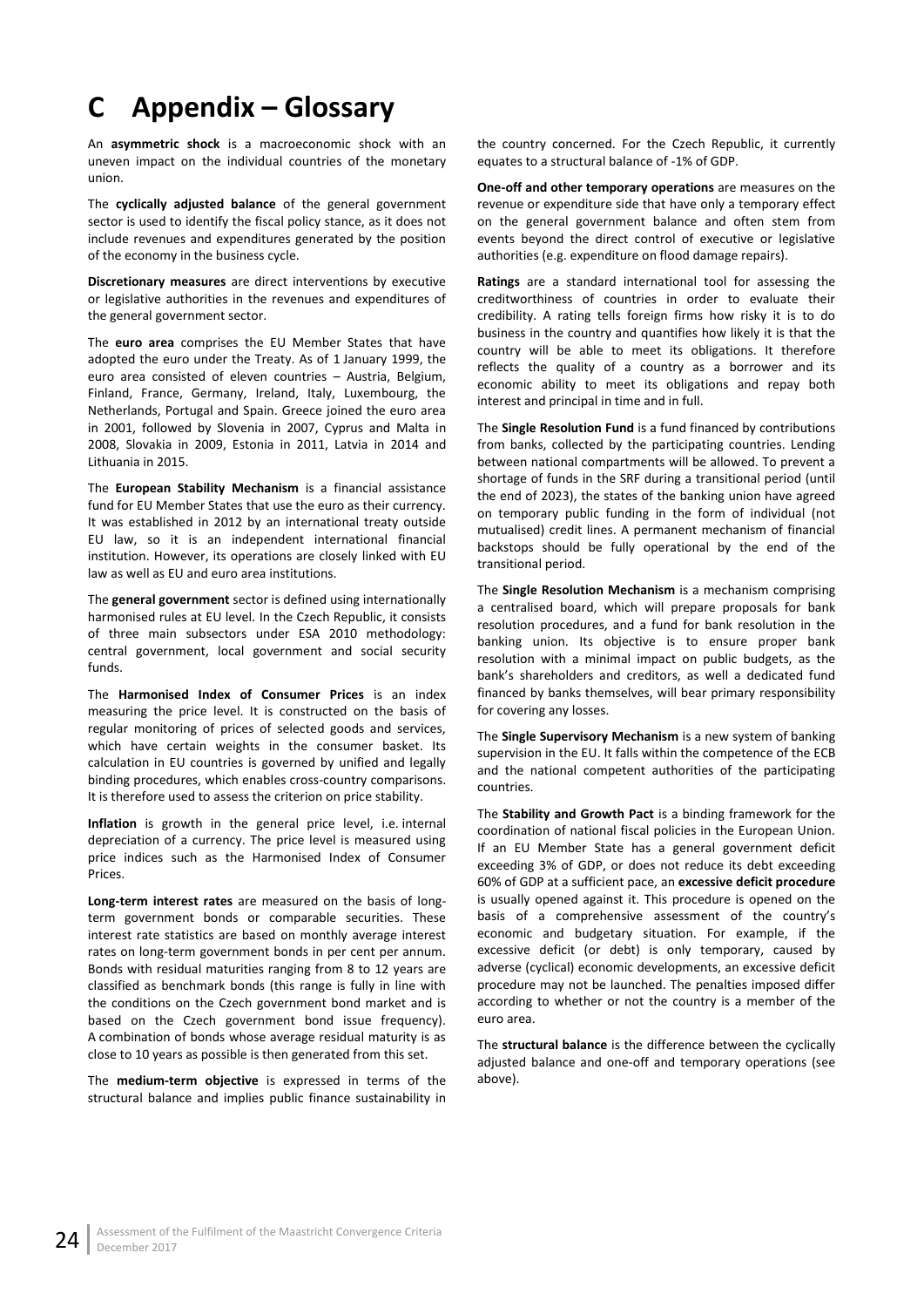# <span id="page-29-0"></span>**C Appendix – Glossary**

An **asymmetric shock** is a macroeconomic shock with an uneven impact on the individual countries of the monetary union.

The **cyclically adjusted balance** of the general government sector is used to identify the fiscal policy stance, as it does not include revenues and expenditures generated by the position of the economy in the business cycle.

**Discretionary measures** are direct interventions by executive or legislative authorities in the revenues and expenditures of the general government sector.

The **euro area** comprises the EU Member States that have adopted the euro under the Treaty. As of 1 January 1999, the euro area consisted of eleven countries – Austria, Belgium, Finland, France, Germany, Ireland, Italy, Luxembourg, the Netherlands, Portugal and Spain. Greece joined the euro area in 2001, followed by Slovenia in 2007, Cyprus and Malta in 2008, Slovakia in 2009, Estonia in 2011, Latvia in 2014 and Lithuania in 2015.

The **European Stability Mechanism** is a financial assistance fund for EU Member States that use the euro as their currency. It was established in 2012 by an international treaty outside EU law, so it is an independent international financial institution. However, its operations are closely linked with EU law as well as EU and euro area institutions.

The **general government** sector is defined using internationally harmonised rules at EU level. In the Czech Republic, it consists of three main subsectors under ESA 2010 methodology: central government, local government and social security funds.

The **Harmonised Index of Consumer Prices** is an index measuring the price level. It is constructed on the basis of regular monitoring of prices of selected goods and services, which have certain weights in the consumer basket. Its calculation in EU countries is governed by unified and legally binding procedures, which enables cross-country comparisons. It is therefore used to assess the criterion on price stability.

**Inflation** is growth in the general price level, i.e. internal depreciation of a currency. The price level is measured using price indices such as the Harmonised Index of Consumer Prices.

**Long-term interest rates** are measured on the basis of longterm government bonds or comparable securities. These interest rate statistics are based on monthly average interest rates on long-term government bonds in per cent per annum. Bonds with residual maturities ranging from 8 to 12 years are classified as benchmark bonds (this range is fully in line with the conditions on the Czech government bond market and is based on the Czech government bond issue frequency). A combination of bonds whose average residual maturity is as close to 10 years as possible is then generated from this set.

The **medium-term objective** is expressed in terms of the structural balance and implies public finance sustainability in

the country concerned. For the Czech Republic, it currently equates to a structural balance of -1% of GDP.

**One-off and other temporary operations** are measures on the revenue or expenditure side that have only a temporary effect on the general government balance and often stem from events beyond the direct control of executive or legislative authorities (e.g. expenditure on flood damage repairs).

**Ratings** are a standard international tool for assessing the creditworthiness of countries in order to evaluate their credibility. A rating tells foreign firms how risky it is to do business in the country and quantifies how likely it is that the country will be able to meet its obligations. It therefore reflects the quality of a country as a borrower and its economic ability to meet its obligations and repay both interest and principal in time and in full.

The **Single Resolution Fund** is a fund financed by contributions from banks, collected by the participating countries. Lending between national compartments will be allowed. To prevent a shortage of funds in the SRF during a transitional period (until the end of 2023), the states of the banking union have agreed on temporary public funding in the form of individual (not mutualised) credit lines. A permanent mechanism of financial backstops should be fully operational by the end of the transitional period.

The **Single Resolution Mechanism** is a mechanism comprising a centralised board, which will prepare proposals for bank resolution procedures, and a fund for bank resolution in the banking union. Its objective is to ensure proper bank resolution with a minimal impact on public budgets, as the bank's shareholders and creditors, as well a dedicated fund financed by banks themselves, will bear primary responsibility for covering any losses.

The **Single Supervisory Mechanism** is a new system of banking supervision in the EU. It falls within the competence of the ECB and the national competent authorities of the participating countries.

The **Stability and Growth Pact** is a binding framework for the coordination of national fiscal policies in the European Union. If an EU Member State has a general government deficit exceeding 3% of GDP, or does not reduce its debt exceeding 60% of GDP at a sufficient pace, an **excessive deficit procedure** is usually opened against it. This procedure is opened on the basis of a comprehensive assessment of the country's economic and budgetary situation. For example, if the excessive deficit (or debt) is only temporary, caused by adverse (cyclical) economic developments, an excessive deficit procedure may not be launched. The penalties imposed differ according to whether or not the country is a member of the euro area.

The **structural balance** is the difference between the cyclically adjusted balance and one-off and temporary operations (see above).